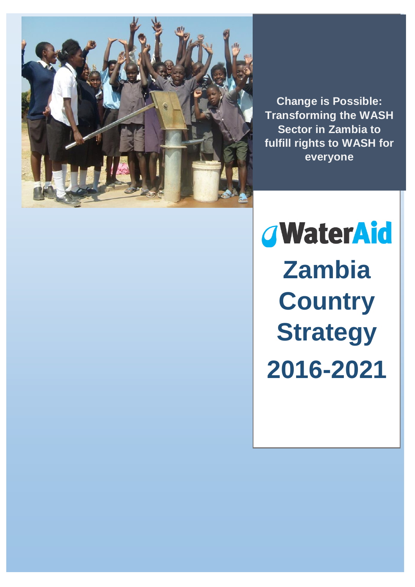

**Manuel Deposition Change is Possible: Transforming the WASH Sector in Zambia to fulfill rights to WASH for everyone**

*GWaterAid* **Zambia Country Strategy 2016-2021**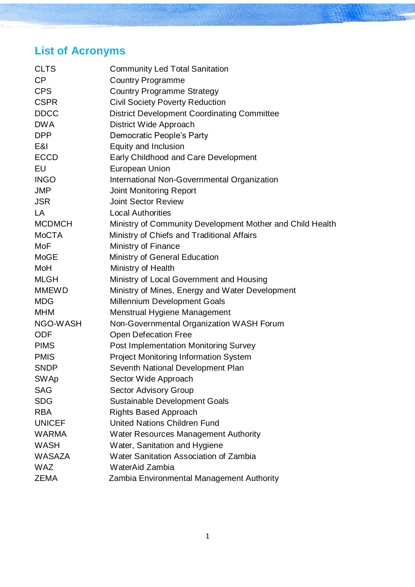#### **List of Acronyms**

| <b>CLTS</b>   | <b>Community Led Total Sanitation</b>                     |
|---------------|-----------------------------------------------------------|
| CP            | <b>Country Programme</b>                                  |
| <b>CPS</b>    | <b>Country Programme Strategy</b>                         |
| <b>CSPR</b>   | <b>Civil Society Poverty Reduction</b>                    |
| <b>DDCC</b>   | <b>District Development Coordinating Committee</b>        |
| <b>DWA</b>    | District Wide Approach                                    |
| <b>DPP</b>    | Democratic People's Party                                 |
| E&I           | Equity and Inclusion                                      |
| <b>ECCD</b>   | Early Childhood and Care Development                      |
| EU            | <b>European Union</b>                                     |
| <b>INGO</b>   | International Non-Governmental Organization               |
| <b>JMP</b>    | <b>Joint Monitoring Report</b>                            |
| <b>JSR</b>    | <b>Joint Sector Review</b>                                |
| LA            | <b>Local Authorities</b>                                  |
| <b>MCDMCH</b> | Ministry of Community Development Mother and Child Health |
| <b>MoCTA</b>  | Ministry of Chiefs and Traditional Affairs                |
| MoF           | Ministry of Finance                                       |
| <b>MoGE</b>   | Ministry of General Education                             |
| MoH           | Ministry of Health                                        |
| <b>MLGH</b>   | Ministry of Local Government and Housing                  |
| <b>MMEWD</b>  | Ministry of Mines, Energy and Water Development           |
| <b>MDG</b>    | <b>Millennium Development Goals</b>                       |
| <b>MHM</b>    | Menstrual Hygiene Management                              |
| NGO-WASH      | Non-Governmental Organization WASH Forum                  |
| <b>ODF</b>    | <b>Open Defecation Free</b>                               |
| <b>PIMS</b>   | <b>Post Implementation Monitoring Survey</b>              |
| <b>PMIS</b>   | <b>Project Monitoring Information System</b>              |
| <b>SNDP</b>   | Seventh National Development Plan                         |
| <b>SWAp</b>   | Sector Wide Approach                                      |
| <b>SAG</b>    | <b>Sector Advisory Group</b>                              |
| <b>SDG</b>    | <b>Sustainable Development Goals</b>                      |
| <b>RBA</b>    | <b>Rights Based Approach</b>                              |
| <b>UNICEF</b> | <b>United Nations Children Fund</b>                       |
| WARMA         | <b>Water Resources Management Authority</b>               |
| <b>WASH</b>   | Water, Sanitation and Hygiene                             |
| <b>WASAZA</b> | Water Sanitation Association of Zambia                    |
| <b>WAZ</b>    | WaterAid Zambia                                           |
| <b>ZEMA</b>   | Zambia Environmental Management Authority                 |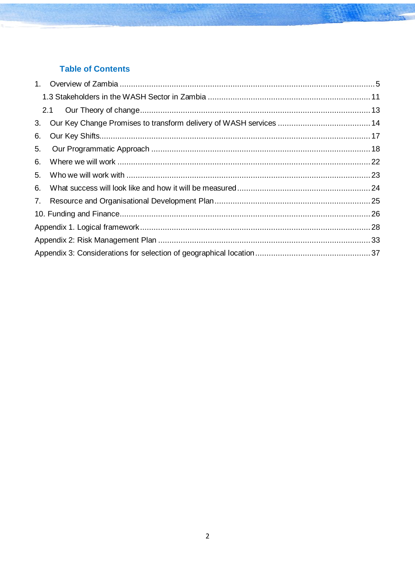#### **Table of Contents**

| 6. |  |
|----|--|
| 5. |  |
| 6. |  |
| 5. |  |
| 6. |  |
|    |  |
|    |  |
|    |  |
|    |  |
|    |  |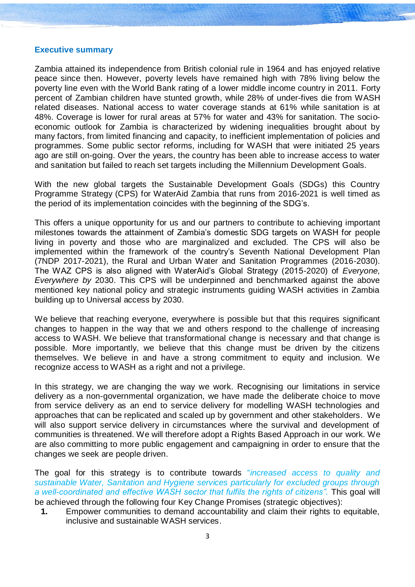#### **Executive summary**

Zambia attained its independence from British colonial rule in 1964 and has enjoyed relative peace since then. However, poverty levels have remained high with 78% living below the poverty line even with the World Bank rating of a lower middle income country in 2011. Forty percent of Zambian children have stunted growth, while 28% of under-fives die from WASH related diseases. National access to water coverage stands at 61% while sanitation is at 48%. Coverage is lower for rural areas at 57% for water and 43% for sanitation. The socioeconomic outlook for Zambia is characterized by widening inequalities brought about by many factors, from limited financing and capacity, to inefficient implementation of policies and programmes. Some public sector reforms, including for WASH that were initiated 25 years ago are still on-going. Over the years, the country has been able to increase access to water and sanitation but failed to reach set targets including the Millennium Development Goals.

With the new global targets the Sustainable Development Goals (SDGs) this Country Programme Strategy (CPS) for WaterAid Zambia that runs from 2016-2021 is well timed as the period of its implementation coincides with the beginning of the SDG's.

This offers a unique opportunity for us and our partners to contribute to achieving important milestones towards the attainment of Zambia's domestic SDG targets on WASH for people living in poverty and those who are marginalized and excluded. The CPS will also be implemented within the framework of the country's Seventh National Development Plan (7NDP 2017-2021), the Rural and Urban Water and Sanitation Programmes (2016-2030). The WAZ CPS is also aligned with WaterAid's Global Strategy (2015-2020) of *Everyone, Everywhere by* 2030. This CPS will be underpinned and benchmarked against the above mentioned key national policy and strategic instruments guiding WASH activities in Zambia building up to Universal access by 2030.

We believe that reaching everyone, everywhere is possible but that this requires significant changes to happen in the way that we and others respond to the challenge of increasing access to WASH. We believe that transformational change is necessary and that change is possible. More importantly, we believe that this change must be driven by the citizens themselves. We believe in and have a strong commitment to equity and inclusion. We recognize access to WASH as a right and not a privilege.

In this strategy, we are changing the way we work. Recognising our limitations in service delivery as a non-governmental organization, we have made the deliberate choice to move from service delivery as an end to service delivery for modelling WASH technologies and approaches that can be replicated and scaled up by government and other stakeholders. We will also support service delivery in circumstances where the survival and development of communities is threatened. We will therefore adopt a Rights Based Approach in our work. We are also committing to more public engagement and campaigning in order to ensure that the changes we seek are people driven.

The goal for this strategy is to contribute towards "*increased access to quality and sustainable Water, Sanitation and Hygiene services particularly for excluded groups through a well-coordinated and effective WASH sector that fulfils the rights of citizens".* This goal will be achieved through the following four Key Change Promises (strategic objectives):

**1.** Empower communities to demand accountability and claim their rights to equitable, inclusive and sustainable WASH services.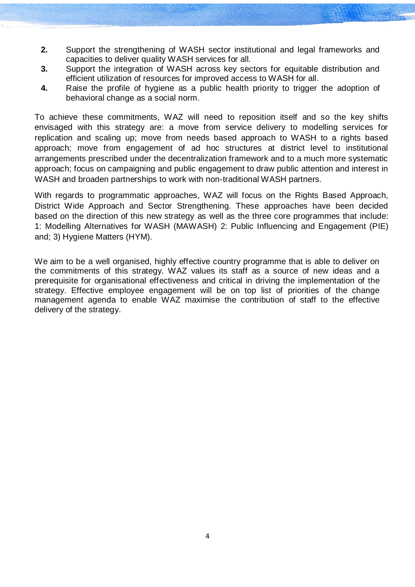- **2.** Support the strengthening of WASH sector institutional and legal frameworks and capacities to deliver quality WASH services for all.
- **3.** Support the integration of WASH across key sectors for equitable distribution and efficient utilization of resources for improved access to WASH for all.
- **4.** Raise the profile of hygiene as a public health priority to trigger the adoption of behavioral change as a social norm.

To achieve these commitments, WAZ will need to reposition itself and so the key shifts envisaged with this strategy are: a move from service delivery to modelling services for replication and scaling up; move from needs based approach to WASH to a rights based approach; move from engagement of ad hoc structures at district level to institutional arrangements prescribed under the decentralization framework and to a much more systematic approach; focus on campaigning and public engagement to draw public attention and interest in WASH and broaden partnerships to work with non-traditional WASH partners.

With regards to programmatic approaches, WAZ will focus on the Rights Based Approach, District Wide Approach and Sector Strengthening. These approaches have been decided based on the direction of this new strategy as well as the three core programmes that include: 1: Modelling Alternatives for WASH (MAWASH) 2: Public Influencing and Engagement (PIE) and; 3) Hygiene Matters (HYM).

We aim to be a well organised, highly effective country programme that is able to deliver on the commitments of this strategy. WAZ values its staff as a source of new ideas and a prerequisite for organisational effectiveness and critical in driving the implementation of the strategy. Effective employee engagement will be on top list of priorities of the change management agenda to enable WAZ maximise the contribution of staff to the effective delivery of the strategy.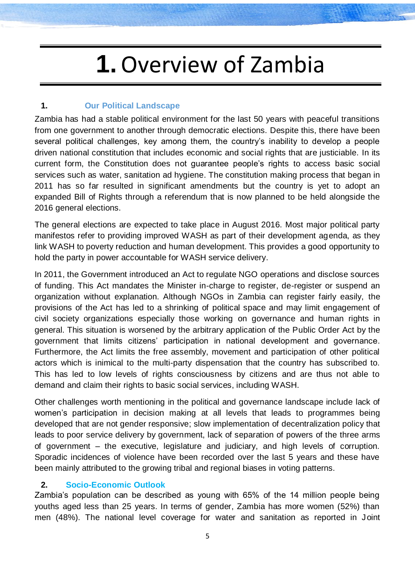### **1.**Overview of Zambia

#### <span id="page-5-0"></span>**1. Our Political Landscape**

Zambia has had a stable political environment for the last 50 years with peaceful transitions from one government to another through democratic elections. Despite this, there have been several political challenges, key among them, the country's inability to develop a people driven national constitution that includes economic and social rights that are justiciable. In its current form, the Constitution does not guarantee people's rights to access basic social services such as water, sanitation ad hygiene. The constitution making process that began in 2011 has so far resulted in significant amendments but the country is yet to adopt an expanded Bill of Rights through a referendum that is now planned to be held alongside the 2016 general elections.

The general elections are expected to take place in August 2016. Most major political party manifestos refer to providing improved WASH as part of their development agenda, as they link WASH to poverty reduction and human development. This provides a good opportunity to hold the party in power accountable for WASH service delivery.

In 2011, the Government introduced an Act to regulate NGO operations and disclose sources of funding. This Act mandates the Minister in-charge to register, de-register or suspend an organization without explanation. Although NGOs in Zambia can register fairly easily, the provisions of the Act has led to a shrinking of political space and may limit engagement of civil society organizations especially those working on governance and human rights in general. This situation is worsened by the arbitrary application of the Public Order Act by the government that limits citizens' participation in national development and governance. Furthermore, the Act limits the free assembly, movement and participation of other political actors which is inimical to the multi-party dispensation that the country has subscribed to. This has led to low levels of rights consciousness by citizens and are thus not able to demand and claim their rights to basic social services, including WASH.

Other challenges worth mentioning in the political and governance landscape include lack of women's participation in decision making at all levels that leads to programmes being developed that are not gender responsive; slow implementation of decentralization policy that leads to poor service delivery by government, lack of separation of powers of the three arms of government – the executive, legislature and judiciary, and high levels of corruption. Sporadic incidences of violence have been recorded over the last 5 years and these have been mainly attributed to the growing tribal and regional biases in voting patterns.

#### **2. Socio-Economic Outlook**

Zambia's population can be described as young with 65% of the 14 million people being youths aged less than 25 years. In terms of gender, Zambia has more women (52%) than men (48%). The national level coverage for water and sanitation as reported in Joint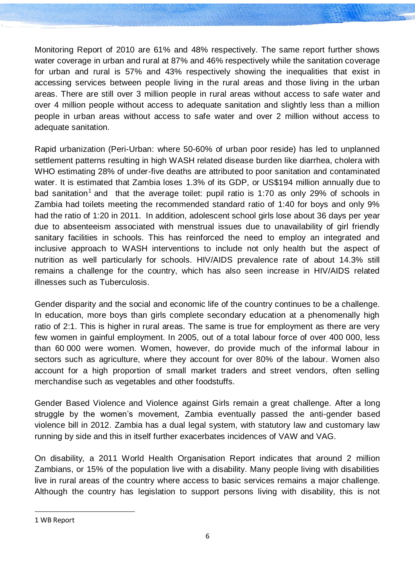Monitoring Report of 2010 are 61% and 48% respectively. The same report further shows water coverage in urban and rural at 87% and 46% respectively while the sanitation coverage for urban and rural is 57% and 43% respectively showing the inequalities that exist in accessing services between people living in the rural areas and those living in the urban areas. There are still over 3 million people in rural areas without access to safe water and over 4 million people without access to adequate sanitation and slightly less than a million people in urban areas without access to safe water and over 2 million without access to adequate sanitation.

Rapid urbanization (Peri-Urban: where 50-60% of urban poor reside) has led to unplanned settlement patterns resulting in high WASH related disease burden like diarrhea, cholera with WHO estimating 28% of under-five deaths are attributed to poor sanitation and contaminated water. It is estimated that Zambia loses 1.3% of its GDP, or US\$194 million annually due to bad sanitation<sup>1</sup> and that the average toilet: pupil ratio is 1:70 as only 29% of schools in Zambia had toilets meeting the recommended standard ratio of 1:40 for boys and only 9% had the ratio of 1:20 in 2011. In addition, adolescent school girls lose about 36 days per year due to absenteeism associated with menstrual issues due to unavailability of girl friendly sanitary facilities in schools. This has reinforced the need to employ an integrated and inclusive approach to WASH interventions to include not only health but the aspect of nutrition as well particularly for schools. HIV/AIDS prevalence rate of about 14.3% still remains a challenge for the country, which has also seen increase in HIV/AIDS related illnesses such as Tuberculosis.

Gender disparity and the social and economic life of the country continues to be a challenge. In education, more boys than girls complete secondary education at a phenomenally high ratio of 2:1. This is higher in rural areas. The same is true for employment as there are very few women in gainful employment. In 2005, out of a total labour force of over 400 000, less than 60 000 were women. Women, however, do provide much of the informal labour in sectors such as agriculture, where they account for over 80% of the labour. Women also account for a high proportion of small market traders and street vendors, often selling merchandise such as vegetables and other foodstuffs.

Gender Based Violence and Violence against Girls remain a great challenge. After a long struggle by the women's movement, Zambia eventually passed the anti-gender based violence bill in 2012. Zambia has a dual legal system, with statutory law and customary law running by side and this in itself further exacerbates incidences of VAW and VAG.

On disability, a 2011 World Health Organisation Report indicates that around 2 million Zambians, or 15% of the population live with a disability. Many people living with disabilities live in rural areas of the country where access to basic services remains a major challenge. Although the country has legislation to support persons living with disability, this is not

 $\ddot{\phantom{a}}$ 

<sup>1</sup> WB Report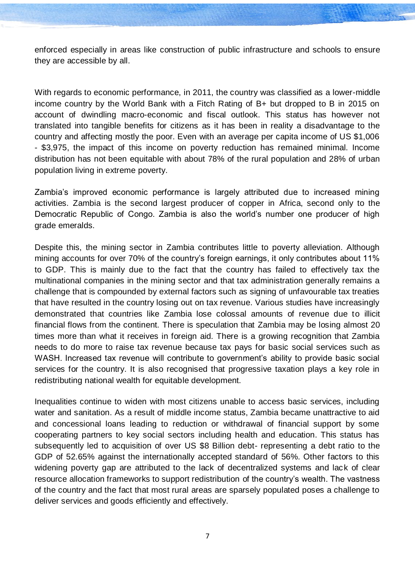enforced especially in areas like construction of public infrastructure and schools to ensure they are accessible by all.

With regards to economic performance, in 2011, the country was classified as a lower-middle income country by the World Bank with a Fitch Rating of B+ but dropped to B in 2015 on account of dwindling macro-economic and fiscal outlook. This status has however not translated into tangible benefits for citizens as it has been in reality a disadvantage to the country and affecting mostly the poor. Even with an average per capita income of US \$1,006 - \$3,975, the impact of this income on poverty reduction has remained minimal. Income distribution has not been equitable with about 78% of the rural population and 28% of urban population living in extreme poverty.

Zambia's improved economic performance is largely attributed due to increased mining activities. Zambia is the second largest producer of copper in Africa, second only to the Democratic Republic of Congo. Zambia is also the world's number one producer of high grade emeralds.

Despite this, the mining sector in Zambia contributes little to poverty alleviation. Although mining accounts for over 70% of the country's foreign earnings, it only contributes about 11% to GDP. This is mainly due to the fact that the country has failed to effectively tax the multinational companies in the mining sector and that tax administration generally remains a challenge that is compounded by external factors such as signing of unfavourable tax treaties that have resulted in the country losing out on tax revenue. Various studies have increasingly demonstrated that countries like Zambia lose colossal amounts of revenue due to illicit financial flows from the continent. There is speculation that Zambia may be losing almost 20 times more than what it receives in foreign aid. There is a growing recognition that Zambia needs to do more to raise tax revenue because tax pays for basic social services such as WASH. Increased tax revenue will contribute to government's ability to provide basic social services for the country. It is also recognised that progressive taxation plays a key role in redistributing national wealth for equitable development.

Inequalities continue to widen with most citizens unable to access basic services, including water and sanitation. As a result of middle income status, Zambia became unattractive to aid and concessional loans leading to reduction or withdrawal of financial support by some cooperating partners to key social sectors including health and education. This status has subsequently led to acquisition of over US \$8 Billion debt- representing a debt ratio to the GDP of 52.65% against the internationally accepted standard of 56%. Other factors to this widening poverty gap are attributed to the lack of decentralized systems and lack of clear resource allocation frameworks to support redistribution of the country's wealth. The vastness of the country and the fact that most rural areas are sparsely populated poses a challenge to deliver services and goods efficiently and effectively.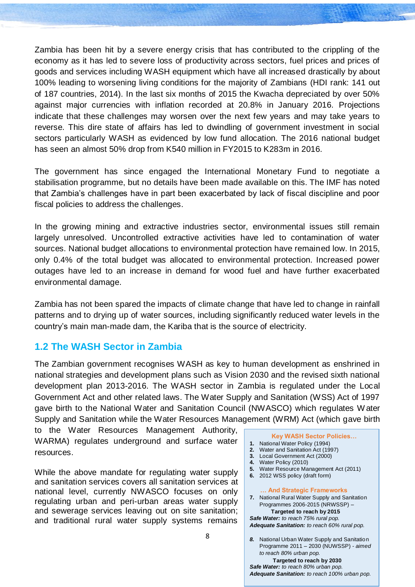Zambia has been hit by a severe energy crisis that has contributed to the crippling of the economy as it has led to severe loss of productivity across sectors, fuel prices and prices of goods and services including WASH equipment which have all increased drastically by about 100% leading to worsening living conditions for the majority of Zambians (HDI rank: 141 out of 187 countries, 2014). In the last six months of 2015 the Kwacha depreciated by over 50% against major currencies with inflation recorded at 20.8% in January 2016. Projections indicate that these challenges may worsen over the next few years and may take years to reverse. This dire state of affairs has led to dwindling of government investment in social sectors particularly WASH as evidenced by low fund allocation. The 2016 national budget has seen an almost 50% drop from K540 million in FY2015 to K283m in 2016.

The government has since engaged the International Monetary Fund to negotiate a stabilisation programme, but no details have been made available on this. The IMF has noted that Zambia's challenges have in part been exacerbated by lack of fiscal discipline and poor fiscal policies to address the challenges.

In the growing mining and extractive industries sector, environmental issues still remain largely unresolved. Uncontrolled extractive activities have led to contamination of water sources. National budget allocations to environmental protection have remained low. In 2015, only 0.4% of the total budget was allocated to environmental protection. Increased power outages have led to an increase in demand for wood fuel and have further exacerbated environmental damage.

Zambia has not been spared the impacts of climate change that have led to change in rainfall patterns and to drying up of water sources, including significantly reduced water levels in the country's main man-made dam, the Kariba that is the source of electricity.

#### **1.2 The WASH Sector in Zambia**

The Zambian government recognises WASH as key to human development as enshrined in national strategies and development plans such as Vision 2030 and the revised sixth national development plan 2013-2016. The WASH sector in Zambia is regulated under the Local Government Act and other related laws. The Water Supply and Sanitation (WSS) Act of 1997 gave birth to the National Water and Sanitation Council (NWASCO) which regulates W ater Supply and Sanitation while the Water Resources Management (WRM) Act (which gave birth

to the Water Resources Management Authority, WARMA) regulates underground and surface water resources.

While the above mandate for regulating water supply and sanitation services covers all sanitation services at national level, currently NWASCO focuses on only regulating urban and peri-urban areas water supply and sewerage services leaving out on site sanitation; and traditional rural water supply systems remains

- **Key WASH Sector Policies…**
- **1.** National Water Policy (1994)
- **2.** Water and Sanitation Act (1997)
- **3.** Local Government Act (2000)
- **4.** Water Policy (2010)
- **5.** Water Resource Management Act (2011)
- **6.** 2012 WSS policy (draft form)

#### **… And Strategic Frameworks**

**7.** National Rural Water Supply and Sanitation Programmes 2006-2015 (NRWSSP) –  **Targeted to reach by 2015** *Safe Water: to reach 75% rural pop. Adequate Sanitation: to reach 60% rural pop.*

*8.* National Urban Water Supply and Sanitation Programme 2011 – 2030 (NUWSSP) - *aimed to reach 80% urban pop.*

 **Targeted to reach by 2030** *Safe Water: to reach 80% urban pop. Adequate Sanitation: to reach 100% urban pop.*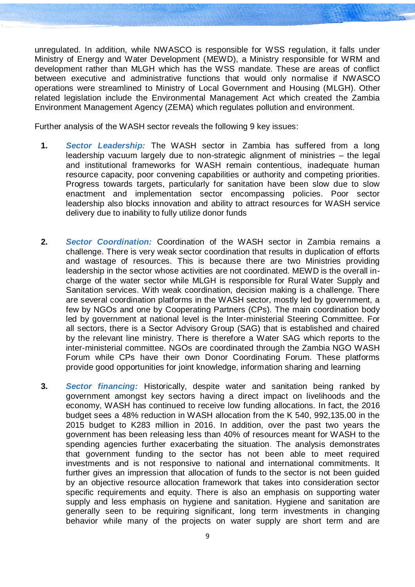unregulated. In addition, while NWASCO is responsible for WSS regulation, it falls under Ministry of Energy and Water Development (MEWD), a Ministry responsible for WRM and development rather than MLGH which has the WSS mandate. These are areas of conflict between executive and administrative functions that would only normalise if NWASCO operations were streamlined to Ministry of Local Government and Housing (MLGH). Other related legislation include the Environmental Management Act which created the Zambia Environment Management Agency (ZEMA) which regulates pollution and environment.

Further analysis of the WASH sector reveals the following 9 key issues:

- **1.** *Sector Leadership:* The WASH sector in Zambia has suffered from a long leadership vacuum largely due to non-strategic alignment of ministries – the legal and institutional frameworks for WASH remain contentious, inadequate human resource capacity, poor convening capabilities or authority and competing priorities. Progress towards targets, particularly for sanitation have been slow due to slow enactment and implementation sector encompassing policies. Poor sector leadership also blocks innovation and ability to attract resources for WASH service delivery due to inability to fully utilize donor funds
- **2.** *Sector Coordination:* Coordination of the WASH sector in Zambia remains a challenge. There is very weak sector coordination that results in duplication of efforts and wastage of resources. This is because there are two Ministries providing leadership in the sector whose activities are not coordinated. MEWD is the overall incharge of the water sector while MLGH is responsible for Rural Water Supply and Sanitation services. With weak coordination, decision making is a challenge. There are several coordination platforms in the WASH sector, mostly led by government, a few by NGOs and one by Cooperating Partners (CPs). The main coordination body led by government at national level is the Inter-ministerial Steering Committee. For all sectors, there is a Sector Advisory Group (SAG) that is established and chaired by the relevant line ministry. There is therefore a Water SAG which reports to the inter-ministerial committee. NGOs are coordinated through the Zambia NGO WASH Forum while CPs have their own Donor Coordinating Forum. These platforms provide good opportunities for joint knowledge, information sharing and learning
- **3.** *Sector financing:* Historically, despite water and sanitation being ranked by government amongst key sectors having a direct impact on livelihoods and the economy, WASH has continued to receive low funding allocations. In fact, the 2016 budget sees a 48% reduction in WASH allocation from the K 540, 992,135.00 in the 2015 budget to K283 million in 2016. In addition, over the past two years the government has been releasing less than 40% of resources meant for WASH to the spending agencies further exacerbating the situation. The analysis demonstrates that government funding to the sector has not been able to meet required investments and is not responsive to national and international commitments. It further gives an impression that allocation of funds to the sector is not been guided by an objective resource allocation framework that takes into consideration sector specific requirements and equity. There is also an emphasis on supporting water supply and less emphasis on hygiene and sanitation. Hygiene and sanitation are generally seen to be requiring significant, long term investments in changing behavior while many of the projects on water supply are short term and are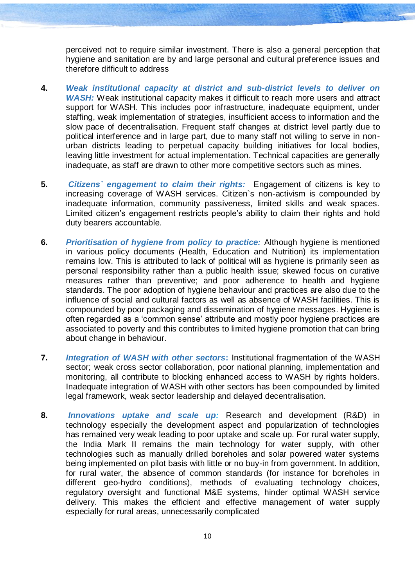perceived not to require similar investment. There is also a general perception that hygiene and sanitation are by and large personal and cultural preference issues and therefore difficult to address

- **4.** *Weak institutional capacity at district and sub-district levels to deliver on WASH:* Weak institutional capacity makes it difficult to reach more users and attract support for WASH. This includes poor infrastructure, inadequate equipment, under staffing, weak implementation of strategies, insufficient access to information and the slow pace of decentralisation. Frequent staff changes at district level partly due to political interference and in large part, due to many staff not willing to serve in nonurban districts leading to perpetual capacity building initiatives for local bodies, leaving little investment for actual implementation. Technical capacities are generally inadequate, as staff are drawn to other more competitive sectors such as mines.
- **5.** *Citizens engagement to claim their rights:* Engagement of citizens is key to increasing coverage of WASH services. Citizen`s non-activism is compounded by inadequate information, community passiveness, limited skills and weak spaces. Limited citizen's engagement restricts people's ability to claim their rights and hold duty bearers accountable.
- **6.** *Prioritisation of hygiene from policy to practice:* Although hygiene is mentioned in various policy documents (Health, Education and Nutrition) its implementation remains low. This is attributed to lack of political will as hygiene is primarily seen as personal responsibility rather than a public health issue; skewed focus on curative measures rather than preventive; and poor adherence to health and hygiene standards. The poor adoption of hygiene behaviour and practices are also due to the influence of social and cultural factors as well as absence of WASH facilities. This is compounded by poor packaging and dissemination of hygiene messages. Hygiene is often regarded as a 'common sense' attribute and mostly poor hygiene practices are associated to poverty and this contributes to limited hygiene promotion that can bring about change in behaviour.
- **7.** *Integration of WASH with other sectors***:** Institutional fragmentation of the WASH sector; weak cross sector collaboration, poor national planning, implementation and monitoring, all contribute to blocking enhanced access to WASH by rights holders. Inadequate integration of WASH with other sectors has been compounded by limited legal framework, weak sector leadership and delayed decentralisation.
- **8.** *Innovations uptake and scale up:* Research and development (R&D) in technology especially the development aspect and popularization of technologies has remained very weak leading to poor uptake and scale up. For rural water supply, the India Mark II remains the main technology for water supply, with other technologies such as manually drilled boreholes and solar powered water systems being implemented on pilot basis with little or no buy-in from government. In addition, for rural water, the absence of common standards (for instance for boreholes in different geo-hydro conditions), methods of evaluating technology choices, regulatory oversight and functional M&E systems, hinder optimal WASH service delivery. This makes the efficient and effective management of water supply especially for rural areas, unnecessarily complicated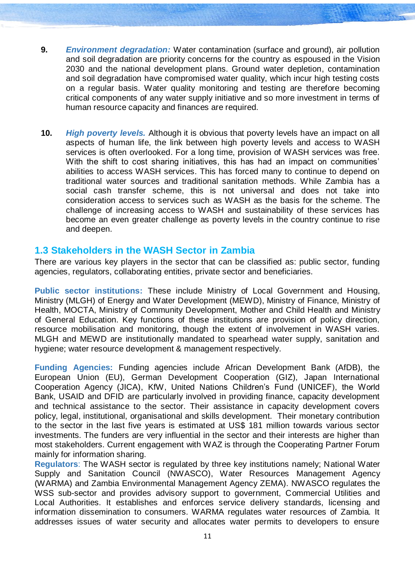- **9.** *Environment degradation:* Water contamination (surface and ground), air pollution and soil degradation are priority concerns for the country as espoused in the Vision 2030 and the national development plans. Ground water depletion, contamination and soil degradation have compromised water quality, which incur high testing costs on a regular basis. Water quality monitoring and testing are therefore becoming critical components of any water supply initiative and so more investment in terms of human resource capacity and finances are required.
- **10.** *High poverty levels.* Although it is obvious that poverty levels have an impact on all aspects of human life, the link between high poverty levels and access to WASH services is often overlooked. For a long time, provision of WASH services was free. With the shift to cost sharing initiatives, this has had an impact on communities' abilities to access WASH services. This has forced many to continue to depend on traditional water sources and traditional sanitation methods. While Zambia has a social cash transfer scheme, this is not universal and does not take into consideration access to services such as WASH as the basis for the scheme. The challenge of increasing access to WASH and sustainability of these services has become an even greater challenge as poverty levels in the country continue to rise and deepen.

#### <span id="page-11-0"></span>**1.3 Stakeholders in the WASH Sector in Zambia**

There are various key players in the sector that can be classified as: public sector, funding agencies, regulators, collaborating entities, private sector and beneficiaries.

**Public sector institutions:** These include Ministry of Local Government and Housing, Ministry (MLGH) of Energy and Water Development (MEWD), Ministry of Finance, Ministry of Health, MOCTA, Ministry of Community Development, Mother and Child Health and Ministry of General Education. Key functions of these institutions are provision of policy direction, resource mobilisation and monitoring, though the extent of involvement in WASH varies. MLGH and MEWD are institutionally mandated to spearhead water supply, sanitation and hygiene; water resource development & management respectively.

**Funding Agencies:** Funding agencies include African Development Bank (AfDB), the European Union (EU), German Development Cooperation (GIZ), Japan International Cooperation Agency (JICA), KfW, United Nations Children's Fund (UNICEF), the World Bank, USAID and DFID are particularly involved in providing finance, capacity development and technical assistance to the sector. Their assistance in capacity development covers policy, legal, institutional, organisational and skills development. Their monetary contribution to the sector in the last five years is estimated at US\$ 181 million towards various sector investments. The funders are very influential in the sector and their interests are higher than most stakeholders. Current engagement with WAZ is through the Cooperating Partner Forum mainly for information sharing.

**Regulators**: The WASH sector is regulated by three key institutions namely; National Water Supply and Sanitation Council (NWASCO), Water Resources Management Agency (WARMA) and Zambia Environmental Management Agency ZEMA). NWASCO regulates the WSS sub-sector and provides advisory support to government, Commercial Utilities and Local Authorities. It establishes and enforces service delivery standards, licensing and information dissemination to consumers. WARMA regulates water resources of Zambia. It addresses issues of water security and allocates water permits to developers to ensure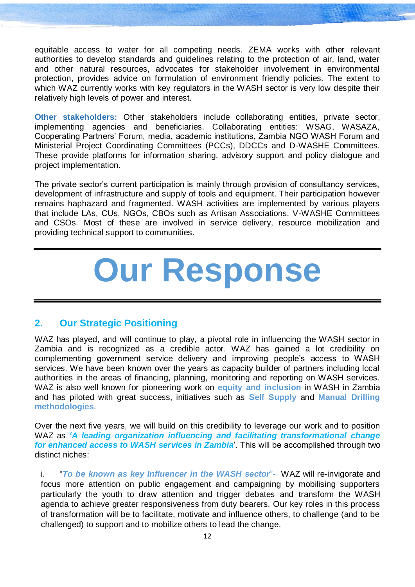equitable access to water for all competing needs. ZEMA works with other relevant authorities to develop standards and guidelines relating to the protection of air, land, water and other natural resources, advocates for stakeholder involvement in environmental protection, provides advice on formulation of environment friendly policies. The extent to which WAZ currently works with key regulators in the WASH sector is very low despite their relatively high levels of power and interest.

**Other stakeholders:** Other stakeholders include collaborating entities, private sector, implementing agencies and beneficiaries. Collaborating entities: WSAG, WASAZA, Cooperating Partners' Forum, media, academic institutions, Zambia NGO WASH Forum and Ministerial Project Coordinating Committees (PCCs), DDCCs and D-WASHE Committees. These provide platforms for information sharing, advisory support and policy dialogue and project implementation.

The private sector's current participation is mainly through provision of consultancy services, development of infrastructure and supply of tools and equipment. Their participation however remains haphazard and fragmented. WASH activities are implemented by various players that include LAs, CUs, NGOs, CBOs such as Artisan Associations, V-WASHE Committees and CSOs. Most of these are involved in service delivery, resource mobilization and providing technical support to communities.

# **Our Response**

#### **2. Our Strategic Positioning**

WAZ has played, and will continue to play, a pivotal role in influencing the WASH sector in Zambia and is recognized as a credible actor. WAZ has gained a lot credibility on complementing government service delivery and improving people's access to WASH services. We have been known over the years as capacity builder of partners including local authorities in the areas of financing, planning, monitoring and reporting on WASH services. WAZ is also well known for pioneering work on **equity and inclusion** in WASH in Zambia and has piloted with great success, initiatives such as **Self Supply** and **Manual Drilling methodologies**.

Over the next five years, we will build on this credibility to leverage our work and to position WAZ as *'A leading organization influencing and facilitating transformational change for enhanced access to WASH services in Zambia*'. This will be accomplished through two distinct niches:

i. "*To be known as key Influencer in the WASH sector*"- WAZ will re-invigorate and focus more attention on public engagement and campaigning by mobilising supporters particularly the youth to draw attention and trigger debates and transform the WASH agenda to achieve greater responsiveness from duty bearers. Our key roles in this process of transformation will be to facilitate, motivate and influence others, to challenge (and to be challenged) to support and to mobilize others to lead the change.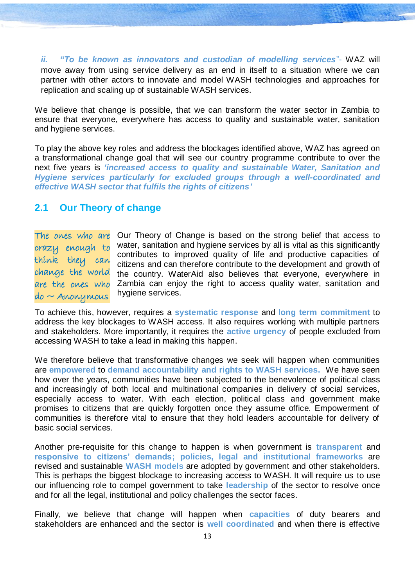*ii. "To be known as innovators and custodian of modelling services*"- WAZ will move away from using service delivery as an end in itself to a situation where we can partner with other actors to innovate and model WASH technologies and approaches for replication and scaling up of sustainable WASH services.

We believe that change is possible, that we can transform the water sector in Zambia to ensure that everyone, everywhere has access to quality and sustainable water, sanitation and hygiene services.

To play the above key roles and address the blockages identified above, WAZ has agreed on a transformational change goal that will see our country programme contribute to over the next five years is *'increased access to quality and sustainable Water, Sanitation and Hygiene services particularly for excluded groups through a well-coordinated and effective WASH sector that fulfils the rights of citizens'*

#### <span id="page-13-0"></span>**2.1 Our Theory of change**

The owes who are Our Theory of Change is based on the strong belief that access to water, sanitation and hygiene services by all is vital as this significantly contributes to improved quality of life and productive capacities of citizens and can therefore contribute to the development and growth of the country. WaterAid also believes that everyone, everywhere in Zambia can enjoy the right to access quality water, sanitation and hygiene services. crazy enough to think they can change the world are the ones who  $do \sim$  Anonymous

To achieve this, however, requires a **systematic response** and **long term commitment** to address the key blockages to WASH access. It also requires working with multiple partners and stakeholders. More importantly, it requires the **active urgency** of people excluded from accessing WASH to take a lead in making this happen.

We therefore believe that transformative changes we seek will happen when communities are **empowered** to **demand accountability and rights to WASH services.** We have seen how over the years, communities have been subjected to the benevolence of political class and increasingly of both local and multinational companies in delivery of social services, especially access to water. With each election, political class and government make promises to citizens that are quickly forgotten once they assume office. Empowerment of communities is therefore vital to ensure that they hold leaders accountable for delivery of basic social services.

Another pre-requisite for this change to happen is when government is **transparent** and **responsive to citizens' demands; policies, legal and institutional frameworks** are revised and sustainable **WASH models** are adopted by government and other stakeholders. This is perhaps the biggest blockage to increasing access to WASH. It will require us to use our influencing role to compel government to take **leadership** of the sector to resolve once and for all the legal, institutional and policy challenges the sector faces.

Finally, we believe that change will happen when **capacities** of duty bearers and stakeholders are enhanced and the sector is **well coordinated** and when there is effective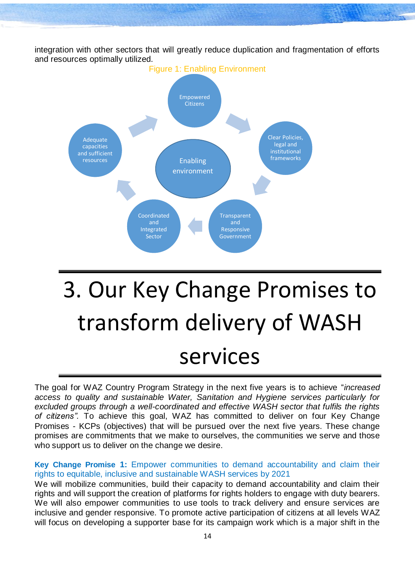integration with other sectors that will greatly reduce duplication and fragmentation of efforts and resources optimally utilized.



# <span id="page-14-0"></span>3. Our Key Change Promises to transform delivery of WASH services

The goal for WAZ Country Program Strategy in the next five years is to achieve "*increased access to quality and sustainable Water, Sanitation and Hygiene services particularly for excluded groups through a well-coordinated and effective WASH sector that fulfils the rights of citizens".* To achieve this goal, WAZ has committed to deliver on four Key Change Promises - KCPs (objectives) that will be pursued over the next five years. These change promises are commitments that we make to ourselves, the communities we serve and those who support us to deliver on the change we desire.

**Key Change Promise 1:** Empower communities to demand accountability and claim their rights to equitable, inclusive and sustainable WASH services by 2021

We will mobilize communities, build their capacity to demand accountability and claim their rights and will support the creation of platforms for rights holders to engage with duty bearers. We will also empower communities to use tools to track delivery and ensure services are inclusive and gender responsive. To promote active participation of citizens at all levels WAZ will focus on developing a supporter base for its campaign work which is a major shift in the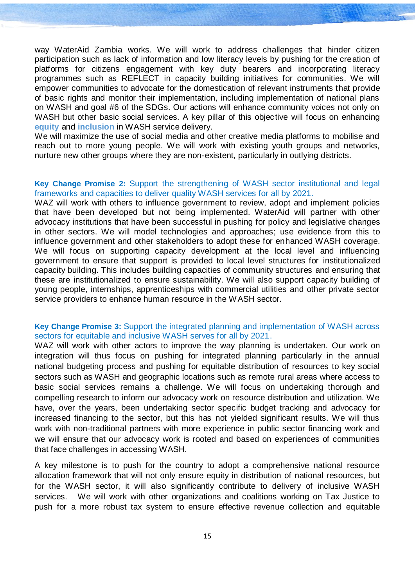way WaterAid Zambia works. We will work to address challenges that hinder citizen participation such as lack of information and low literacy levels by pushing for the creation of platforms for citizens engagement with key duty bearers and incorporating literacy programmes such as REFLECT in capacity building initiatives for communities. We will empower communities to advocate for the domestication of relevant instruments that provide of basic rights and monitor their implementation, including implementation of national plans on WASH and goal #6 of the SDGs. Our actions will enhance community voices not only on WASH but other basic social services. A key pillar of this objective will focus on enhancing **equity** and **inclusion** in WASH service delivery.

We will maximize the use of social media and other creative media platforms to mobilise and reach out to more young people. We will work with existing youth groups and networks, nurture new other groups where they are non-existent, particularly in outlying districts.

#### **Key Change Promise 2:** Support the strengthening of WASH sector institutional and legal frameworks and capacities to deliver quality WASH services for all by 2021.

WAZ will work with others to influence government to review, adopt and implement policies that have been developed but not being implemented. WaterAid will partner with other advocacy institutions that have been successful in pushing for policy and legislative changes in other sectors. We will model technologies and approaches; use evidence from this to influence government and other stakeholders to adopt these for enhanced WASH coverage. We will focus on supporting capacity development at the local level and influencing government to ensure that support is provided to local level structures for institutionalized capacity building. This includes building capacities of community structures and ensuring that these are institutionalized to ensure sustainability. We will also support capacity building of young people, internships, apprenticeships with commercial utilities and other private sector service providers to enhance human resource in the WASH sector.

#### **Key Change Promise 3:** Support the integrated planning and implementation of WASH across sectors for equitable and inclusive WASH serves for all by 2021.

WAZ will work with other actors to improve the way planning is undertaken. Our work on integration will thus focus on pushing for integrated planning particularly in the annual national budgeting process and pushing for equitable distribution of resources to key social sectors such as WASH and geographic locations such as remote rural areas where access to basic social services remains a challenge. We will focus on undertaking thorough and compelling research to inform our advocacy work on resource distribution and utilization. We have, over the years, been undertaking sector specific budget tracking and advocacy for increased financing to the sector, but this has not yielded significant results. We will thus work with non-traditional partners with more experience in public sector financing work and we will ensure that our advocacy work is rooted and based on experiences of communities that face challenges in accessing WASH.

A key milestone is to push for the country to adopt a comprehensive national resource allocation framework that will not only ensure equity in distribution of national resources, but for the WASH sector, it will also significantly contribute to delivery of inclusive WASH services. We will work with other organizations and coalitions working on Tax Justice to push for a more robust tax system to ensure effective revenue collection and equitable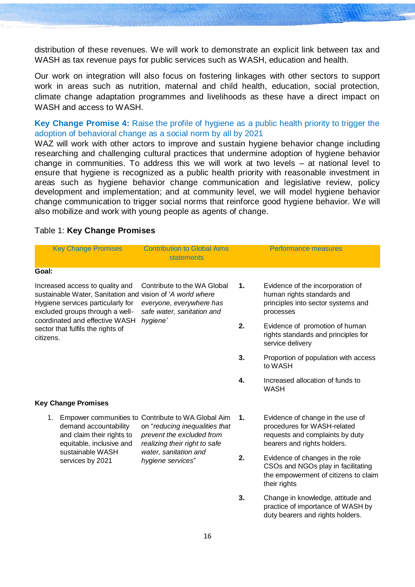distribution of these revenues. We will work to demonstrate an explicit link between tax and WASH as tax revenue pays for public services such as WASH, education and health.

Our work on integration will also focus on fostering linkages with other sectors to support work in areas such as nutrition, maternal and child health, education, social protection, climate change adaptation programmes and livelihoods as these have a direct impact on WASH and access to WASH.

**Key Change Promise 4:** Raise the profile of hygiene as a public health priority to trigger the adoption of behavioral change as a social norm by all by 2021

WAZ will work with other actors to improve and sustain hygiene behavior change including researching and challenging cultural practices that undermine adoption of hygiene behavior change in communities. To address this we will work at two levels – at national level to ensure that hygiene is recognized as a public health priority with reasonable investment in areas such as hygiene behavior change communication and legislative review, policy development and implementation; and at community level, we will model hygiene behavior change communication to trigger social norms that reinforce good hygiene behavior. We will also mobilize and work with young people as agents of change.

#### Table 1: **Key Change Promises**

| <b>Key Change Promises</b>                                                                                                                                            |  | <b>Contribution to Global Aims</b><br><b>statements</b>                                                                                            | <b>Performance measures</b> |                                                                                                                                   |  |
|-----------------------------------------------------------------------------------------------------------------------------------------------------------------------|--|----------------------------------------------------------------------------------------------------------------------------------------------------|-----------------------------|-----------------------------------------------------------------------------------------------------------------------------------|--|
| Goal:                                                                                                                                                                 |  |                                                                                                                                                    |                             |                                                                                                                                   |  |
| Increased access to quality and<br>sustainable Water, Sanitation and vision of 'A world where<br>Hygiene services particularly for<br>excluded groups through a well- |  | Contribute to the WA Global<br>everyone, everywhere has<br>safe water, sanitation and                                                              | 1.                          | Evidence of the incorporation of<br>human rights standards and<br>principles into sector systems and<br>processes                 |  |
| coordinated and effective WASH<br>sector that fulfils the rights of<br>citizens.                                                                                      |  | hygiene'                                                                                                                                           | 2.                          | Evidence of promotion of human<br>rights standards and principles for<br>service delivery                                         |  |
|                                                                                                                                                                       |  | 3.<br>4.                                                                                                                                           |                             | Proportion of population with access<br>to WASH                                                                                   |  |
|                                                                                                                                                                       |  |                                                                                                                                                    |                             | Increased allocation of funds to<br><b>WASH</b>                                                                                   |  |
| <b>Key Change Promises</b>                                                                                                                                            |  |                                                                                                                                                    |                             |                                                                                                                                   |  |
| 1.<br>demand accountability<br>and claim their rights to<br>equitable, inclusive and<br>sustainable WASH                                                              |  | Empower communities to Contribute to WA Global Aim<br>on "reducing inequalities that<br>prevent the excluded from<br>realizing their right to safe |                             | Evidence of change in the use of<br>procedures for WASH-related<br>requests and complaints by duty<br>bearers and rights holders. |  |
| services by 2021                                                                                                                                                      |  | water, sanitation and<br>hygiene services"                                                                                                         | 2.                          | Evidence of changes in the role<br>CSOs and NGOs play in facilitating<br>the empowerment of citizens to claim<br>their rights     |  |
|                                                                                                                                                                       |  |                                                                                                                                                    | 3.                          | Change in knowledge, attitude and<br>practice of importance of WASH by<br>duty bearers and rights holders.                        |  |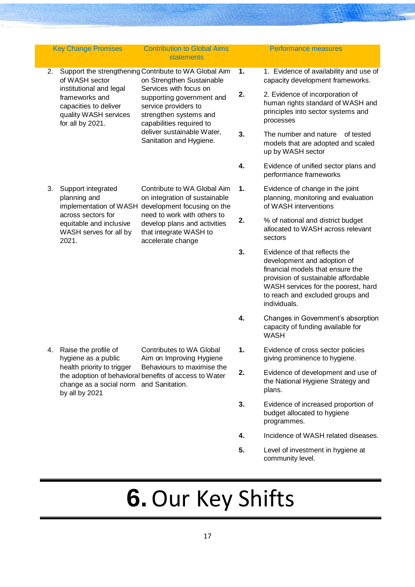|    | <b>Key Change Promises</b>                                                                                                                       | <b>Contribution to Global Aims</b><br><b>statements</b>                                                                                                                                                   |    | <b>Performance measures</b>                                                                                                                                                                                                        |
|----|--------------------------------------------------------------------------------------------------------------------------------------------------|-----------------------------------------------------------------------------------------------------------------------------------------------------------------------------------------------------------|----|------------------------------------------------------------------------------------------------------------------------------------------------------------------------------------------------------------------------------------|
| 2. | of WASH sector                                                                                                                                   | Support the strengthening Contribute to WA Global Aim<br>on Strengthen Sustainable                                                                                                                        | 1. | 1. Evidence of availability and use of<br>capacity development frameworks.                                                                                                                                                         |
|    | institutional and legal<br>frameworks and<br>capacities to deliver<br>quality WASH services<br>for all by 2021.                                  | Services with focus on<br>supporting government and<br>service providers to<br>strengthen systems and<br>capabilities required to                                                                         | 2. | 2. Evidence of incorporation of<br>human rights standard of WASH and<br>principles into sector systems and<br>processes                                                                                                            |
|    |                                                                                                                                                  | deliver sustainable Water,<br>Sanitation and Hygiene.                                                                                                                                                     | 3. | The number and nature<br>of tested<br>models that are adopted and scaled<br>up by WASH sector                                                                                                                                      |
|    |                                                                                                                                                  |                                                                                                                                                                                                           | 4. | Evidence of unified sector plans and<br>performance frameworks                                                                                                                                                                     |
| 3. | Support integrated<br>planning and<br>implementation of WASH<br>across sectors for<br>equitable and inclusive<br>WASH serves for all by<br>2021. | Contribute to WA Global Aim<br>on integration of sustainable<br>development focusing on the<br>need to work with others to<br>develop plans and activities<br>that integrate WASH to<br>accelerate change | 1. | Evidence of change in the joint<br>planning, monitoring and evaluation<br>of WASH interventions                                                                                                                                    |
|    |                                                                                                                                                  |                                                                                                                                                                                                           | 2. | % of national and district budget<br>allocated to WASH across relevant<br>sectors                                                                                                                                                  |
|    |                                                                                                                                                  |                                                                                                                                                                                                           | 3. | Evidence of that reflects the<br>development and adoption of<br>financial models that ensure the<br>provision of sustainable affordable<br>WASH services for the poorest, hard<br>to reach and excluded groups and<br>individuals. |
|    |                                                                                                                                                  |                                                                                                                                                                                                           | 4. | Changes in Government's absorption<br>capacity of funding available for<br><b>WASH</b>                                                                                                                                             |
| 4. | Raise the profile of<br>hygiene as a public                                                                                                      | Contributes to WA Global<br>Aim on Improving Hygiene                                                                                                                                                      | 1. | Evidence of cross sector policies<br>giving prominence to hygiene.                                                                                                                                                                 |
|    | health priority to trigger<br>change as a social norm and Sanitation.<br>by all by 2021                                                          | Behaviours to maximise the<br>the adoption of behavioral benefits of access to Water                                                                                                                      | 2. | Evidence of development and use of<br>the National Hygiene Strategy and<br>plans.                                                                                                                                                  |
|    |                                                                                                                                                  |                                                                                                                                                                                                           | 3. | Evidence of increased proportion of<br>budget allocated to hygiene<br>programmes.                                                                                                                                                  |
|    |                                                                                                                                                  |                                                                                                                                                                                                           | 4. | Incidence of WASH related diseases.                                                                                                                                                                                                |

**5.** Level of investment in hygiene at community level.

# <span id="page-17-0"></span>**6.**Our Key Shifts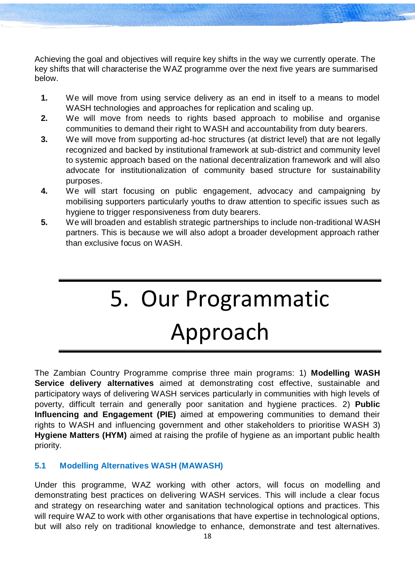Achieving the goal and objectives will require key shifts in the way we currently operate. The key shifts that will characterise the WAZ programme over the next five years are summarised below.

- **1.** We will move from using service delivery as an end in itself to a means to model WASH technologies and approaches for replication and scaling up.
- **2.** We will move from needs to rights based approach to mobilise and organise communities to demand their right to WASH and accountability from duty bearers.
- **3.** We will move from supporting ad-hoc structures (at district level) that are not legally recognized and backed by institutional framework at sub-district and community level to systemic approach based on the national decentralization framework and will also advocate for institutionalization of community based structure for sustainability purposes.
- **4.** We will start focusing on public engagement, advocacy and campaigning by mobilising supporters particularly youths to draw attention to specific issues such as hygiene to trigger responsiveness from duty bearers.
- <span id="page-18-0"></span>**5.** We will broaden and establish strategic partnerships to include non-traditional WASH partners. This is because we will also adopt a broader development approach rather than exclusive focus on WASH.

# 5. Our Programmatic Approach

The Zambian Country Programme comprise three main programs: 1) **Modelling WASH Service delivery alternatives** aimed at demonstrating cost effective, sustainable and participatory ways of delivering WASH services particularly in communities with high levels of poverty, difficult terrain and generally poor sanitation and hygiene practices. 2) **Public Influencing and Engagement (PIE)** aimed at empowering communities to demand their rights to WASH and influencing government and other stakeholders to prioritise WASH 3) **Hygiene Matters (HYM)** aimed at raising the profile of hygiene as an important public health priority.

#### **5.1 Modelling Alternatives WASH (MAWASH)**

Under this programme, WAZ working with other actors, will focus on modelling and demonstrating best practices on delivering WASH services. This will include a clear focus and strategy on researching water and sanitation technological options and practices. This will require WAZ to work with other organisations that have expertise in technological options, but will also rely on traditional knowledge to enhance, demonstrate and test alternatives.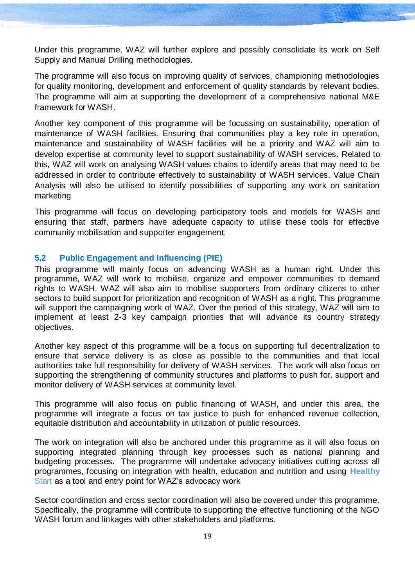Under this programme, WAZ will further explore and possibly consolidate its work on Self Supply and Manual Drilling methodologies.

The programme will also focus on improving quality of services, championing methodologies for quality monitoring, development and enforcement of quality standards by relevant bodies. The programme will aim at supporting the development of a comprehensive national M&E framework for WASH.

Another key component of this programme will be focussing on sustainability, operation of maintenance of WASH facilities. Ensuring that communities play a key role in operation, maintenance and sustainability of WASH facilities will be a priority and WAZ will aim to develop expertise at community level to support sustainability of WASH services. Related to this, WAZ will work on analysing WASH values chains to identify areas that may need to be addressed in order to contribute effectively to sustainability of WASH services. Value Chain Analysis will also be utilised to identify possibilities of supporting any work on sanitation marketing

This programme will focus on developing participatory tools and models for WASH and ensuring that staff, partners have adequate capacity to utilise these tools for effective community mobilisation and supporter engagement.

#### **5.2 Public Engagement and Influencing (PIE)**

This programme will mainly focus on advancing WASH as a human right. Under this programme, WAZ will work to mobilise, organize and empower communities to demand rights to WASH. WAZ will also aim to mobilise supporters from ordinary citizens to other sectors to build support for prioritization and recognition of WASH as a right. This programme will support the campaigning work of WAZ. Over the period of this strategy, WAZ will aim to implement at least 2-3 key campaign priorities that will advance its country strategy objectives.

Another key aspect of this programme will be a focus on supporting full decentralization to ensure that service delivery is as close as possible to the communities and that local authorities take full responsibility for delivery of WASH services. The work will also focus on supporting the strengthening of community structures and platforms to push for, support and monitor delivery of WASH services at community level.

This programme will also focus on public financing of WASH, and under this area, the programme will integrate a focus on tax justice to push for enhanced revenue collection, equitable distribution and accountability in utilization of public resources.

The work on integration will also be anchored under this programme as it will also focus on supporting integrated planning through key processes such as national planning and budgeting processes. The programme will undertake advocacy initiatives cutting across all programmes, focusing on integration with health, education and nutrition and using **Healthy**  Start as a tool and entry point for WAZ's advocacy work

Sector coordination and cross sector coordination will also be covered under this programme. Specifically, the programme will contribute to supporting the effective functioning of the NGO WASH forum and linkages with other stakeholders and platforms.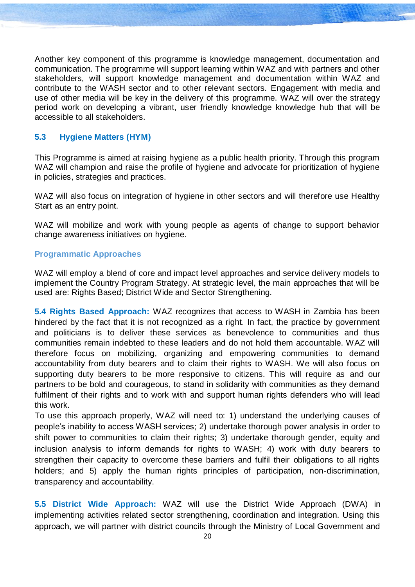Another key component of this programme is knowledge management, documentation and communication. The programme will support learning within WAZ and with partners and other stakeholders, will support knowledge management and documentation within WAZ and contribute to the WASH sector and to other relevant sectors. Engagement with media and use of other media will be key in the delivery of this programme. WAZ will over the strategy period work on developing a vibrant, user friendly knowledge knowledge hub that will be accessible to all stakeholders.

#### **5.3 Hygiene Matters (HYM)**

This Programme is aimed at raising hygiene as a public health priority. Through this program WAZ will champion and raise the profile of hygiene and advocate for prioritization of hygiene in policies, strategies and practices.

WAZ will also focus on integration of hygiene in other sectors and will therefore use Healthy Start as an entry point.

WAZ will mobilize and work with young people as agents of change to support behavior change awareness initiatives on hygiene.

#### **Programmatic Approaches**

WAZ will employ a blend of core and impact level approaches and service delivery models to implement the Country Program Strategy. At strategic level, the main approaches that will be used are: Rights Based; District Wide and Sector Strengthening.

**5.4 Rights Based Approach:** WAZ recognizes that access to WASH in Zambia has been hindered by the fact that it is not recognized as a right. In fact, the practice by government and politicians is to deliver these services as benevolence to communities and thus communities remain indebted to these leaders and do not hold them accountable. WAZ will therefore focus on mobilizing, organizing and empowering communities to demand accountability from duty bearers and to claim their rights to WASH. We will also focus on supporting duty bearers to be more responsive to citizens. This will require as and our partners to be bold and courageous, to stand in solidarity with communities as they demand fulfilment of their rights and to work with and support human rights defenders who will lead this work.

To use this approach properly, WAZ will need to: 1) understand the underlying causes of people's inability to access WASH services; 2) undertake thorough power analysis in order to shift power to communities to claim their rights; 3) undertake thorough gender, equity and inclusion analysis to inform demands for rights to WASH; 4) work with duty bearers to strengthen their capacity to overcome these barriers and fulfil their obligations to all rights holders; and 5) apply the human rights principles of participation, non-discrimination, transparency and accountability.

**5.5 District Wide Approach:** WAZ will use the District Wide Approach (DWA) in implementing activities related sector strengthening, coordination and integration. Using this approach, we will partner with district councils through the Ministry of Local Government and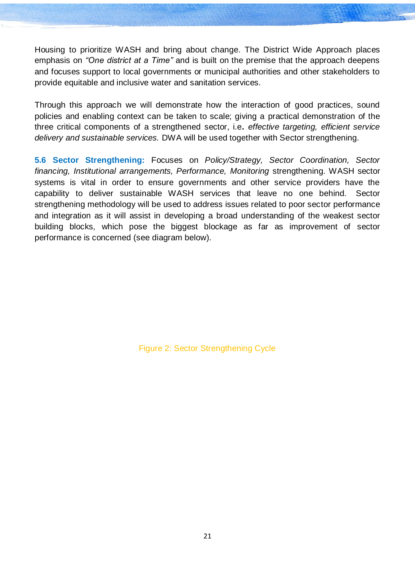Housing to prioritize WASH and bring about change. The District Wide Approach places emphasis on *"One district at a Time"* and is built on the premise that the approach deepens and focuses support to local governments or municipal authorities and other stakeholders to provide equitable and inclusive water and sanitation services.

Through this approach we will demonstrate how the interaction of good practices, sound policies and enabling context can be taken to scale; giving a practical demonstration of the three critical components of a strengthened sector, i.e**.** *effective targeting, efficient service delivery and sustainable services.* DWA will be used together with Sector strengthening.

**5.6 Sector Strengthening:** Focuses on *Policy/Strategy, Sector Coordination, Sector financing, Institutional arrangements, Performance, Monitoring* strengthening. WASH sector systems is vital in order to ensure governments and other service providers have the capability to deliver sustainable WASH services that leave no one behind. Sector strengthening methodology will be used to address issues related to poor sector performance and integration as it will assist in developing a broad understanding of the weakest sector building blocks, which pose the biggest blockage as far as improvement of sector performance is concerned (see diagram below).

Figure 2: Sector Strengthening Cycle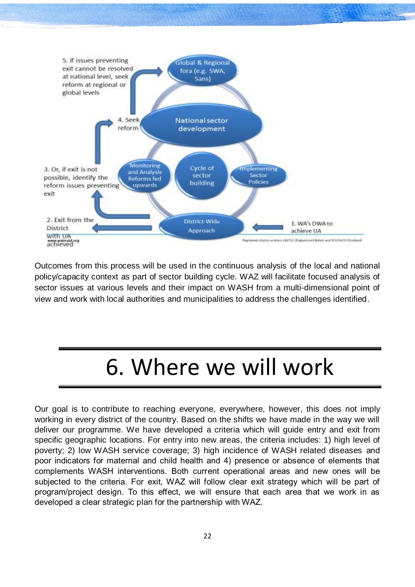

Outcomes from this process will be used in the continuous analysis of the local and national policy/capacity context as part of sector building cycle. WAZ will facilitate focused analysis of sector issues at various levels and their impact on WASH from a multi-dimensional point of view and work with local authorities and municipalities to address the challenges identified.

### 6. Where we will work

<span id="page-22-0"></span>Our goal is to contribute to reaching everyone, everywhere, however, this does not imply working in every district of the country. Based on the shifts we have made in the way we will deliver our programme. We have developed a criteria which will guide entry and exit from specific geographic locations. For entry into new areas, the criteria includes: 1) high level of poverty; 2) low WASH service coverage; 3) high incidence of WASH related diseases and poor indicators for maternal and child health and 4) presence or absence of elements that complements WASH interventions. Both current operational areas and new ones will be subjected to the criteria. For exit, WAZ will follow clear exit strategy which will be part of program/project design. To this effect, we will ensure that each area that we work in as developed a clear strategic plan for the partnership with WAZ.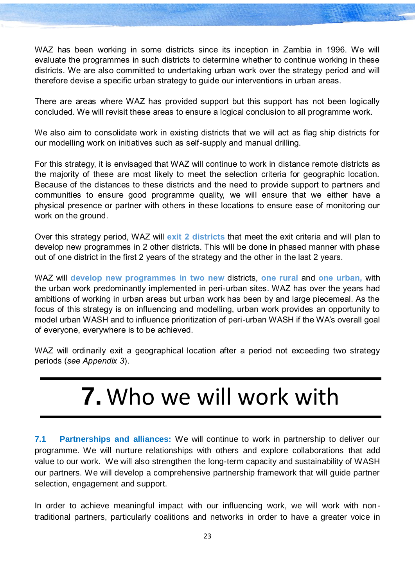WAZ has been working in some districts since its inception in Zambia in 1996. We will evaluate the programmes in such districts to determine whether to continue working in these districts. We are also committed to undertaking urban work over the strategy period and will therefore devise a specific urban strategy to guide our interventions in urban areas.

There are areas where WAZ has provided support but this support has not been logically concluded. We will revisit these areas to ensure a logical conclusion to all programme work.

We also aim to consolidate work in existing districts that we will act as flag ship districts for our modelling work on initiatives such as self-supply and manual drilling.

For this strategy, it is envisaged that WAZ will continue to work in distance remote districts as the majority of these are most likely to meet the selection criteria for geographic location. Because of the distances to these districts and the need to provide support to partners and communities to ensure good programme quality, we will ensure that we either have a physical presence or partner with others in these locations to ensure ease of monitoring our work on the ground.

Over this strategy period, WAZ will **exit 2 districts** that meet the exit criteria and will plan to develop new programmes in 2 other districts. This will be done in phased manner with phase out of one district in the first 2 years of the strategy and the other in the last 2 years.

WAZ will **develop new programmes in two new** districts, **one rural** and **one urban,** with the urban work predominantly implemented in peri-urban sites. WAZ has over the years had ambitions of working in urban areas but urban work has been by and large piecemeal. As the focus of this strategy is on influencing and modelling, urban work provides an opportunity to model urban WASH and to influence prioritization of peri-urban WASH if the WA's overall goal of everyone, everywhere is to be achieved.

<span id="page-23-0"></span>WAZ will ordinarily exit a geographical location after a period not exceeding two strategy periods (*see Appendix 3*).

### **7.** Who we will work with

**7.1 Partnerships and alliances:** We will continue to work in partnership to deliver our programme. We will nurture relationships with others and explore collaborations that add value to our work. We will also strengthen the long-term capacity and sustainability of WASH our partners. We will develop a comprehensive partnership framework that will guide partner selection, engagement and support.

In order to achieve meaningful impact with our influencing work, we will work with nontraditional partners, particularly coalitions and networks in order to have a greater voice in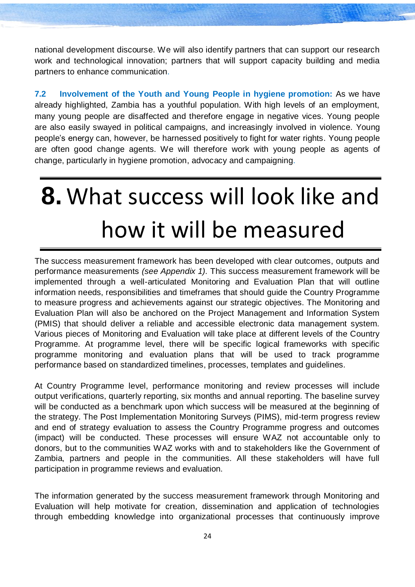national development discourse. We will also identify partners that can support our research work and technological innovation; partners that will support capacity building and media partners to enhance communication.

**7.2 Involvement of the Youth and Young People in hygiene promotion:** As we have already highlighted, Zambia has a youthful population. With high levels of an employment, many young people are disaffected and therefore engage in negative vices. Young people are also easily swayed in political campaigns, and increasingly involved in violence. Young people's energy can, however, be harnessed positively to fight for water rights. Young people are often good change agents. We will therefore work with young people as agents of change, particularly in hygiene promotion, advocacy and campaigning.

# <span id="page-24-0"></span>**8.** What success will look like and how it will be measured

The success measurement framework has been developed with clear outcomes, outputs and performance measurements *(see Appendix 1).* This success measurement framework will be implemented through a well-articulated Monitoring and Evaluation Plan that will outline information needs, responsibilities and timeframes that should guide the Country Programme to measure progress and achievements against our strategic objectives. The Monitoring and Evaluation Plan will also be anchored on the Project Management and Information System (PMIS) that should deliver a reliable and accessible electronic data management system. Various pieces of Monitoring and Evaluation will take place at different levels of the Country Programme. At programme level, there will be specific logical frameworks with specific programme monitoring and evaluation plans that will be used to track programme performance based on standardized timelines, processes, templates and guidelines.

At Country Programme level, performance monitoring and review processes will include output verifications, quarterly reporting, six months and annual reporting. The baseline survey will be conducted as a benchmark upon which success will be measured at the beginning of the strategy. The Post Implementation Monitoring Surveys (PIMS), mid-term progress review and end of strategy evaluation to assess the Country Programme progress and outcomes (impact) will be conducted. These processes will ensure WAZ not accountable only to donors, but to the communities WAZ works with and to stakeholders like the Government of Zambia, partners and people in the communities. All these stakeholders will have full participation in programme reviews and evaluation.

The information generated by the success measurement framework through Monitoring and Evaluation will help motivate for creation, dissemination and application of technologies through embedding knowledge into organizational processes that continuously improve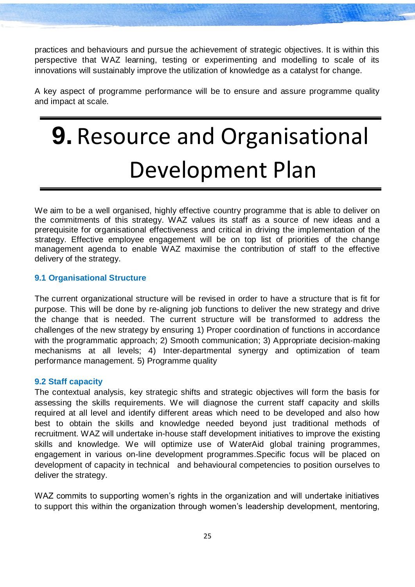practices and behaviours and pursue the achievement of strategic objectives. It is within this perspective that WAZ learning, testing or experimenting and modelling to scale of its innovations will sustainably improve the utilization of knowledge as a catalyst for change.

A key aspect of programme performance will be to ensure and assure programme quality and impact at scale.

# <span id="page-25-0"></span>**9.** Resource and Organisational Development Plan

We aim to be a well organised, highly effective country programme that is able to deliver on the commitments of this strategy. WAZ values its staff as a source of new ideas and a prerequisite for organisational effectiveness and critical in driving the implementation of the strategy. Effective employee engagement will be on top list of priorities of the change management agenda to enable WAZ maximise the contribution of staff to the effective delivery of the strategy.

#### **9.1 Organisational Structure**

The current organizational structure will be revised in order to have a structure that is fit for purpose. This will be done by re-aligning job functions to deliver the new strategy and drive the change that is needed. The current structure will be transformed to address the challenges of the new strategy by ensuring 1) Proper coordination of functions in accordance with the programmatic approach; 2) Smooth communication; 3) Appropriate decision-making mechanisms at all levels; 4) Inter-departmental synergy and optimization of team performance management. 5) Programme quality

#### **9.2 Staff capacity**

The contextual analysis, key strategic shifts and strategic objectives will form the basis for assessing the skills requirements. We will diagnose the current staff capacity and skills required at all level and identify different areas which need to be developed and also how best to obtain the skills and knowledge needed beyond just traditional methods of recruitment. WAZ will undertake in-house staff development initiatives to improve the existing skills and knowledge. We will optimize use of WaterAid global training programmes, engagement in various on-line development programmes.Specific focus will be placed on development of capacity in technical and behavioural competencies to position ourselves to deliver the strategy.

WAZ commits to supporting women's rights in the organization and will undertake initiatives to support this within the organization through women's leadership development, mentoring,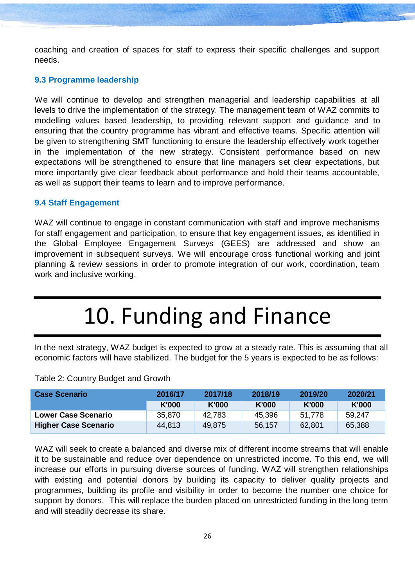coaching and creation of spaces for staff to express their specific challenges and support needs.

#### **9.3 Programme leadership**

We will continue to develop and strengthen managerial and leadership capabilities at all levels to drive the implementation of the strategy. The management team of WAZ commits to modelling values based leadership, to providing relevant support and guidance and to ensuring that the country programme has vibrant and effective teams. Specific attention will be given to strengthening SMT functioning to ensure the leadership effectively work together in the implementation of the new strategy. Consistent performance based on new expectations will be strengthened to ensure that line managers set clear expectations, but more importantly give clear feedback about performance and hold their teams accountable, as well as support their teams to learn and to improve performance.

#### **9.4 Staff Engagement**

WAZ will continue to engage in constant communication with staff and improve mechanisms for staff engagement and participation, to ensure that key engagement issues, as identified in the Global Employee Engagement Surveys (GEES) are addressed and show an improvement in subsequent surveys. We will encourage cross functional working and joint planning & review sessions in order to promote integration of our work, coordination, team work and inclusive working.

### 10. Funding and Finance

<span id="page-26-0"></span>In the next strategy, WAZ budget is expected to grow at a steady rate. This is assuming that all economic factors will have stabilized. The budget for the 5 years is expected to be as follows:

| Case Scenario               | 2016/17 | 2017/18 | 2018/19 | 2019/20      | 2020/21 |
|-----------------------------|---------|---------|---------|--------------|---------|
|                             | K'000   | K'000   | K'000   | <b>K'000</b> | K'000   |
| <b>Lower Case Scenario</b>  | 35,870  | 42.783  | 45,396  | 51.778       | 59,247  |
| <b>Higher Case Scenario</b> | 44,813  | 49.875  | 56,157  | 62,801       | 65,388  |

#### Table 2: Country Budget and Growth

WAZ will seek to create a balanced and diverse mix of different income streams that will enable it to be sustainable and reduce over dependence on unrestricted income. To this end, we will increase our efforts in pursuing diverse sources of funding. WAZ will strengthen relationships with existing and potential donors by building its capacity to deliver quality projects and programmes, building its profile and visibility in order to become the number one choice for support by donors. This will replace the burden placed on unrestricted funding in the long term and will steadily decrease its share.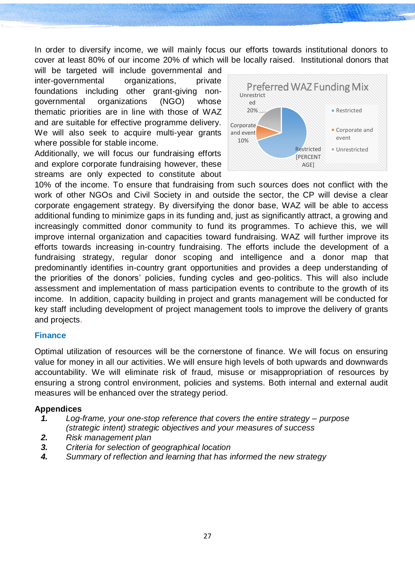In order to diversify income, we will mainly focus our efforts towards institutional donors to cover at least 80% of our income 20% of which will be locally raised. Institutional donors that

will be targeted will include governmental and inter-governmental organizations, private foundations including other grant-giving nongovernmental organizations (NGO) whose thematic priorities are in line with those of WAZ and are suitable for effective programme delivery. We will also seek to acquire multi-year grants where possible for stable income.

Additionally, we will focus our fundraising efforts and explore corporate fundraising however, these streams are only expected to constitute about



10% of the income. To ensure that fundraising from such sources does not conflict with the work of other NGOs and Civil Society in and outside the sector, the CP will devise a clear corporate engagement strategy. By diversifying the donor base, WAZ will be able to access additional funding to minimize gaps in its funding and, just as significantly attract, a growing and increasingly committed donor community to fund its programmes. To achieve this, we will improve internal organization and capacities toward fundraising. WAZ will further improve its efforts towards increasing in-country fundraising. The efforts include the development of a fundraising strategy, regular donor scoping and intelligence and a donor map that predominantly identifies in-country grant opportunities and provides a deep understanding of the priorities of the donors' policies, funding cycles and geo-politics. This will also include assessment and implementation of mass participation events to contribute to the growth of its income. In addition, capacity building in project and grants management will be conducted for key staff including development of project management tools to improve the delivery of grants and projects.

#### **Finance**

Optimal utilization of resources will be the cornerstone of finance. We will focus on ensuring value for money in all our activities. We will ensure high levels of both upwards and downwards accountability. We will eliminate risk of fraud, misuse or misappropriation of resources by ensuring a strong control environment, policies and systems. Both internal and external audit measures will be enhanced over the strategy period.

#### **Appendices**

- *1. Log-frame, your one-stop reference that covers the entire strategy – purpose (strategic intent) strategic objectives and your measures of success*
- *2. Risk management plan*
- *3. Criteria for selection of geographical location*
- *4. Summary of reflection and learning that has informed the new strategy*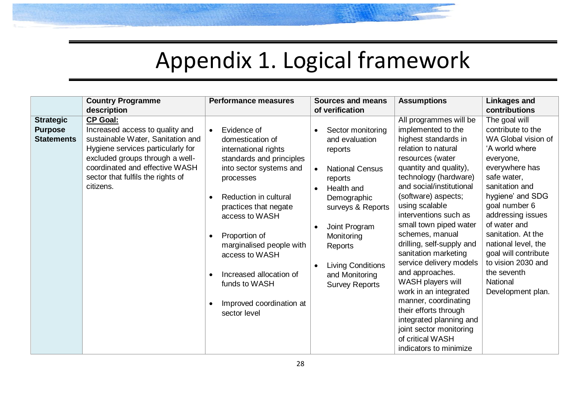# Appendix 1. Logical framework

<span id="page-28-0"></span>

|                                                         | <b>Country Programme</b><br>description                                                                                                                                                                                                             | <b>Performance measures</b>                                                                                                                                                                                                                                                                                                                                                                                             | <b>Sources and means</b><br>of verification                                                                                                                                                                                                                  | <b>Assumptions</b>                                                                                                                                                                                                                                                                                                                                                                                                                                                                                                                                                                                                  | <b>Linkages and</b><br>contributions                                                                                                                                                                                                                                                                                                                             |
|---------------------------------------------------------|-----------------------------------------------------------------------------------------------------------------------------------------------------------------------------------------------------------------------------------------------------|-------------------------------------------------------------------------------------------------------------------------------------------------------------------------------------------------------------------------------------------------------------------------------------------------------------------------------------------------------------------------------------------------------------------------|--------------------------------------------------------------------------------------------------------------------------------------------------------------------------------------------------------------------------------------------------------------|---------------------------------------------------------------------------------------------------------------------------------------------------------------------------------------------------------------------------------------------------------------------------------------------------------------------------------------------------------------------------------------------------------------------------------------------------------------------------------------------------------------------------------------------------------------------------------------------------------------------|------------------------------------------------------------------------------------------------------------------------------------------------------------------------------------------------------------------------------------------------------------------------------------------------------------------------------------------------------------------|
| <b>Strategic</b><br><b>Purpose</b><br><b>Statements</b> | <b>CP Goal:</b><br>Increased access to quality and<br>sustainable Water, Sanitation and<br>Hygiene services particularly for<br>excluded groups through a well-<br>coordinated and effective WASH<br>sector that fulfils the rights of<br>citizens. | Evidence of<br>$\bullet$<br>domestication of<br>international rights<br>standards and principles<br>into sector systems and<br>processes<br>Reduction in cultural<br>$\bullet$<br>practices that negate<br>access to WASH<br>Proportion of<br>$\bullet$<br>marginalised people with<br>access to WASH<br>Increased allocation of<br>$\bullet$<br>funds to WASH<br>Improved coordination at<br>$\bullet$<br>sector level | Sector monitoring<br>and evaluation<br>reports<br><b>National Census</b><br>$\bullet$<br>reports<br>Health and<br>Demographic<br>surveys & Reports<br>Joint Program<br>Monitoring<br>Reports<br>Living Conditions<br>and Monitoring<br><b>Survey Reports</b> | All programmes will be<br>implemented to the<br>highest standards in<br>relation to natural<br>resources (water<br>quantity and quality),<br>technology (hardware)<br>and social/institutional<br>(software) aspects;<br>using scalable<br>interventions such as<br>small town piped water<br>schemes, manual<br>drilling, self-supply and<br>sanitation marketing<br>service delivery models<br>and approaches.<br>WASH players will<br>work in an integrated<br>manner, coordinating<br>their efforts through<br>integrated planning and<br>joint sector monitoring<br>of critical WASH<br>indicators to minimize | The goal will<br>contribute to the<br>WA Global vision of<br>'A world where<br>everyone,<br>everywhere has<br>safe water,<br>sanitation and<br>hygiene' and SDG<br>goal number 6<br>addressing issues<br>of water and<br>sanitation. At the<br>national level, the<br>goal will contribute<br>to vision 2030 and<br>the seventh<br>National<br>Development plan. |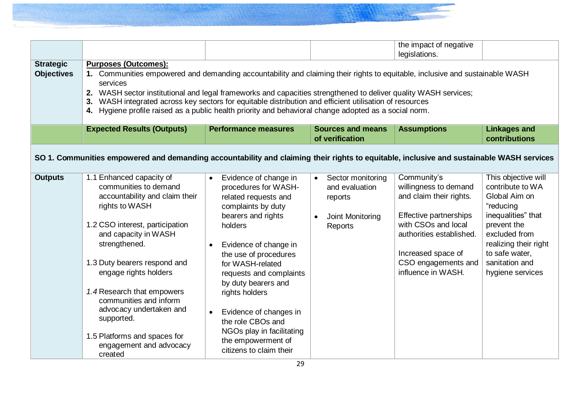| <b>Strategic</b><br><b>Objectives</b> | <b>Purposes (Outcomes):</b><br>1. Communities empowered and demanding accountability and claiming their rights to equitable, inclusive and sustainable WASH<br>services<br>2. WASH sector institutional and legal frameworks and capacities strengthened to deliver quality WASH services;<br>WASH integrated across key sectors for equitable distribution and efficient utilisation of resources<br>Hygiene profile raised as a public health priority and behavioral change adopted as a social norm. |           |                                                                                                                                                                                                                                                                                                                                                                                                     |                        |                                                                               |                                                                                                                                                                                                                 |                                                                                                                                                                                                              |
|---------------------------------------|----------------------------------------------------------------------------------------------------------------------------------------------------------------------------------------------------------------------------------------------------------------------------------------------------------------------------------------------------------------------------------------------------------------------------------------------------------------------------------------------------------|-----------|-----------------------------------------------------------------------------------------------------------------------------------------------------------------------------------------------------------------------------------------------------------------------------------------------------------------------------------------------------------------------------------------------------|------------------------|-------------------------------------------------------------------------------|-----------------------------------------------------------------------------------------------------------------------------------------------------------------------------------------------------------------|--------------------------------------------------------------------------------------------------------------------------------------------------------------------------------------------------------------|
|                                       | <b>Expected Results (Outputs)</b>                                                                                                                                                                                                                                                                                                                                                                                                                                                                        |           | <b>Performance measures</b>                                                                                                                                                                                                                                                                                                                                                                         |                        | <b>Sources and means</b><br>of verification                                   | <b>Assumptions</b>                                                                                                                                                                                              | <b>Linkages and</b><br>contributions                                                                                                                                                                         |
|                                       | SO 1. Communities empowered and demanding accountability and claiming their rights to equitable, inclusive and sustainable WASH services                                                                                                                                                                                                                                                                                                                                                                 |           |                                                                                                                                                                                                                                                                                                                                                                                                     |                        |                                                                               |                                                                                                                                                                                                                 |                                                                                                                                                                                                              |
| <b>Outputs</b>                        | 1.1 Enhanced capacity of<br>communities to demand<br>accountability and claim their<br>rights to WASH<br>1.2 CSO interest, participation<br>and capacity in WASH<br>strengthened.<br>1.3 Duty bearers respond and<br>engage rights holders<br>1.4 Research that empowers<br>communities and inform<br>advocacy undertaken and<br>supported.<br>1.5 Platforms and spaces for<br>engagement and advocacy<br>created                                                                                        | $\bullet$ | Evidence of change in<br>procedures for WASH-<br>related requests and<br>complaints by duty<br>bearers and rights<br>holders<br>Evidence of change in<br>the use of procedures<br>for WASH-related<br>requests and complaints<br>by duty bearers and<br>rights holders<br>Evidence of changes in<br>the role CBOs and<br>NGOs play in facilitating<br>the empowerment of<br>citizens to claim their | $\bullet$<br>$\bullet$ | Sector monitoring<br>and evaluation<br>reports<br>Joint Monitoring<br>Reports | Community's<br>willingness to demand<br>and claim their rights.<br>Effective partnerships<br>with CSOs and local<br>authorities established.<br>Increased space of<br>CSO engagements and<br>influence in WASH. | This objective will<br>contribute to WA<br>Global Aim on<br>"reducing<br>inequalities" that<br>prevent the<br>excluded from<br>realizing their right<br>to safe water,<br>sanitation and<br>hygiene services |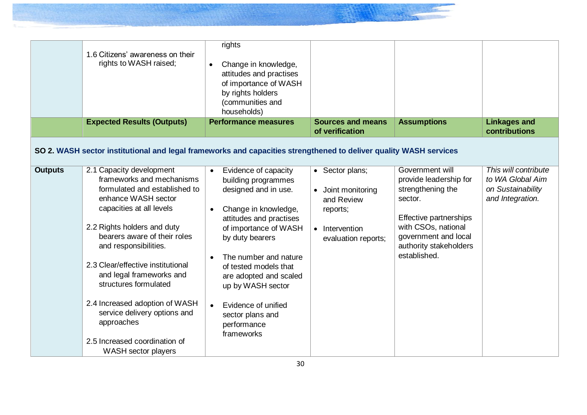|                | 1.6 Citizens' awareness on their<br>rights to WASH raised;<br><b>Expected Results (Outputs)</b>                                                                                                                                                                                                                                                                                                                                                                     | rights<br>Change in knowledge,<br>$\bullet$<br>attitudes and practises<br>of importance of WASH<br>by rights holders<br>(communities and<br>households)<br><b>Performance measures</b>                                                                                                                                                      | <b>Sources and means</b>                                                                                            | <b>Assumptions</b>                                                                                                                                                                           | <b>Linkages and</b>                                                               |
|----------------|---------------------------------------------------------------------------------------------------------------------------------------------------------------------------------------------------------------------------------------------------------------------------------------------------------------------------------------------------------------------------------------------------------------------------------------------------------------------|---------------------------------------------------------------------------------------------------------------------------------------------------------------------------------------------------------------------------------------------------------------------------------------------------------------------------------------------|---------------------------------------------------------------------------------------------------------------------|----------------------------------------------------------------------------------------------------------------------------------------------------------------------------------------------|-----------------------------------------------------------------------------------|
|                |                                                                                                                                                                                                                                                                                                                                                                                                                                                                     |                                                                                                                                                                                                                                                                                                                                             | of verification                                                                                                     |                                                                                                                                                                                              | contributions                                                                     |
|                | SO 2. WASH sector institutional and legal frameworks and capacities strengthened to deliver quality WASH services                                                                                                                                                                                                                                                                                                                                                   |                                                                                                                                                                                                                                                                                                                                             |                                                                                                                     |                                                                                                                                                                                              |                                                                                   |
| <b>Outputs</b> | 2.1 Capacity development<br>frameworks and mechanisms<br>formulated and established to<br>enhance WASH sector<br>capacities at all levels<br>2.2 Rights holders and duty<br>bearers aware of their roles<br>and responsibilities.<br>2.3 Clear/effective institutional<br>and legal frameworks and<br>structures formulated<br>2.4 Increased adoption of WASH<br>service delivery options and<br>approaches<br>2.5 Increased coordination of<br>WASH sector players | Evidence of capacity<br>building programmes<br>designed and in use.<br>Change in knowledge,<br>attitudes and practises<br>of importance of WASH<br>by duty bearers<br>The number and nature<br>of tested models that<br>are adopted and scaled<br>up by WASH sector<br>Evidence of unified<br>sector plans and<br>performance<br>frameworks | • Sector plans;<br>Joint monitoring<br>$\bullet$<br>and Review<br>reports;<br>• Intervention<br>evaluation reports; | Government will<br>provide leadership for<br>strengthening the<br>sector.<br>Effective partnerships<br>with CSOs, national<br>government and local<br>authority stakeholders<br>established. | This will contribute<br>to WA Global Aim<br>on Sustainability<br>and Integration. |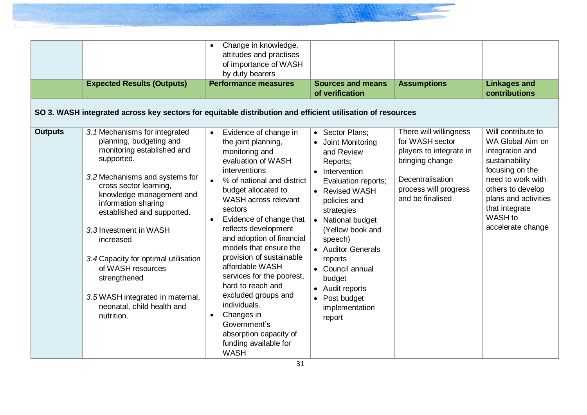|                | <b>Expected Results (Outputs)</b><br>SO 3. WASH integrated across key sectors for equitable distribution and efficient utilisation of resources                                                                                                                                                                                                                                                                                                       | Change in knowledge,<br>attitudes and practises<br>of importance of WASH<br>by duty bearers<br><b>Performance measures</b>                                                                                                                                                                                                                                                                                                                                                                                                                                                | <b>Sources and means</b><br>of verification                                                                                                                                                                                                                                                                                                 | <b>Assumptions</b>                                                                                                                                       | <b>Linkages and</b><br>contributions                                                                                                                                                                               |
|----------------|-------------------------------------------------------------------------------------------------------------------------------------------------------------------------------------------------------------------------------------------------------------------------------------------------------------------------------------------------------------------------------------------------------------------------------------------------------|---------------------------------------------------------------------------------------------------------------------------------------------------------------------------------------------------------------------------------------------------------------------------------------------------------------------------------------------------------------------------------------------------------------------------------------------------------------------------------------------------------------------------------------------------------------------------|---------------------------------------------------------------------------------------------------------------------------------------------------------------------------------------------------------------------------------------------------------------------------------------------------------------------------------------------|----------------------------------------------------------------------------------------------------------------------------------------------------------|--------------------------------------------------------------------------------------------------------------------------------------------------------------------------------------------------------------------|
| <b>Outputs</b> | 3.1 Mechanisms for integrated<br>planning, budgeting and<br>monitoring established and<br>supported.<br>3.2 Mechanisms and systems for<br>cross sector learning,<br>knowledge management and<br>information sharing<br>established and supported.<br>3.3 Investment in WASH<br>increased<br>3.4 Capacity for optimal utilisation<br>of WASH resources<br>strengthened<br>3.5 WASH integrated in maternal,<br>neonatal, child health and<br>nutrition. | Evidence of change in<br>$\bullet$<br>the joint planning,<br>monitoring and<br>evaluation of WASH<br>interventions<br>% of national and district<br>budget allocated to<br>WASH across relevant<br>sectors<br>Evidence of change that<br>reflects development<br>and adoption of financial<br>models that ensure the<br>provision of sustainable<br>affordable WASH<br>services for the poorest,<br>hard to reach and<br>excluded groups and<br>individuals.<br>Changes in<br>$\bullet$<br>Government's<br>absorption capacity of<br>funding available for<br><b>WASH</b> | • Sector Plans;<br>• Joint Monitoring<br>and Review<br>Reports;<br>• Intervention<br>Evaluation reports;<br>• Revised WASH<br>policies and<br>strategies<br>• National budget<br>(Yellow book and<br>speech)<br>• Auditor Generals<br>reports<br>• Council annual<br>budget<br>• Audit reports<br>• Post budget<br>implementation<br>report | There will willingness<br>for WASH sector<br>players to integrate in<br>bringing change<br>Decentralisation<br>process will progress<br>and be finalised | Will contribute to<br>WA Global Aim on<br>integration and<br>sustainability<br>focusing on the<br>need to work with<br>others to develop<br>plans and activities<br>that integrate<br>WASH to<br>accelerate change |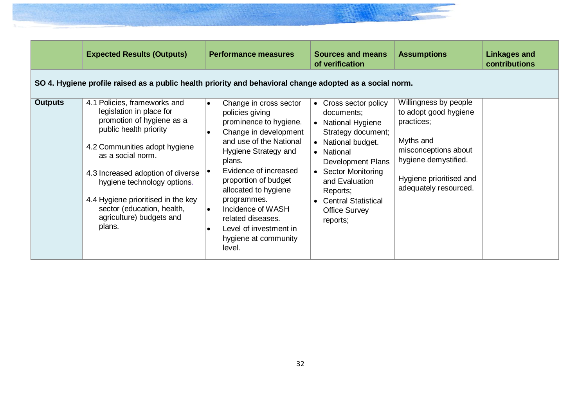|                                                                                                          | <b>Expected Results (Outputs)</b>                                                                                                                                                                                                                                                                                                                   | <b>Performance measures</b>                                                                                                                                                                                                                                                                                                                                                                    | <b>Sources and means</b><br>of verification                                                                                                                                                                                                                                  | <b>Assumptions</b>                                                                                                                                                            | <b>Linkages and</b><br><b>contributions</b> |  |  |  |
|----------------------------------------------------------------------------------------------------------|-----------------------------------------------------------------------------------------------------------------------------------------------------------------------------------------------------------------------------------------------------------------------------------------------------------------------------------------------------|------------------------------------------------------------------------------------------------------------------------------------------------------------------------------------------------------------------------------------------------------------------------------------------------------------------------------------------------------------------------------------------------|------------------------------------------------------------------------------------------------------------------------------------------------------------------------------------------------------------------------------------------------------------------------------|-------------------------------------------------------------------------------------------------------------------------------------------------------------------------------|---------------------------------------------|--|--|--|
| SO 4. Hygiene profile raised as a public health priority and behavioral change adopted as a social norm. |                                                                                                                                                                                                                                                                                                                                                     |                                                                                                                                                                                                                                                                                                                                                                                                |                                                                                                                                                                                                                                                                              |                                                                                                                                                                               |                                             |  |  |  |
| <b>Outputs</b>                                                                                           | 4.1 Policies, frameworks and<br>legislation in place for<br>promotion of hygiene as a<br>public health priority<br>4.2 Communities adopt hygiene<br>as a social norm.<br>4.3 Increased adoption of diverse<br>hygiene technology options.<br>4.4 Hygiene prioritised in the key<br>sector (education, health,<br>agriculture) budgets and<br>plans. | Change in cross sector<br>$\bullet$<br>policies giving<br>prominence to hygiene.<br>Change in development<br>and use of the National<br>Hygiene Strategy and<br>plans.<br>Evidence of increased<br>proportion of budget<br>allocated to hygiene<br>programmes.<br>Incidence of WASH<br>$\bullet$<br>related diseases.<br>Level of investment in<br>$\bullet$<br>hygiene at community<br>level. | • Cross sector policy<br>documents;<br>• National Hygiene<br>Strategy document;<br>• National budget.<br>• National<br>Development Plans<br>• Sector Monitoring<br>and Evaluation<br>Reports;<br><b>Central Statistical</b><br>$\bullet$<br><b>Office Survey</b><br>reports; | Willingness by people<br>to adopt good hygiene<br>practices;<br>Myths and<br>misconceptions about<br>hygiene demystified.<br>Hygiene prioritised and<br>adequately resourced. |                                             |  |  |  |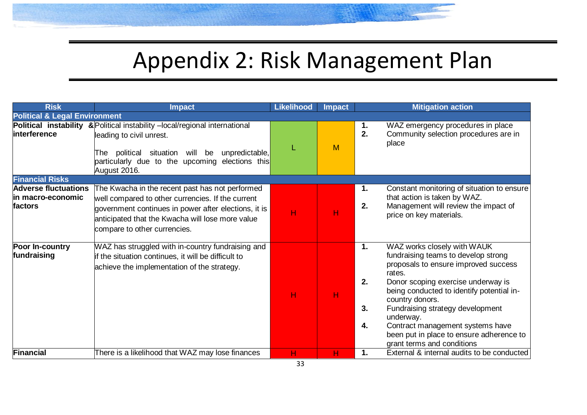# Appendix 2: Risk Management Plan

<span id="page-33-0"></span>

| <b>Risk</b>                                                  | <b>Impact</b>                                                                                                                                                                                                                                    | <b>Likelihood</b> | <b>Impact</b> |                      | <b>Mitigation action</b>                                                                                                                                                                                                                                                                                                                                                                  |
|--------------------------------------------------------------|--------------------------------------------------------------------------------------------------------------------------------------------------------------------------------------------------------------------------------------------------|-------------------|---------------|----------------------|-------------------------------------------------------------------------------------------------------------------------------------------------------------------------------------------------------------------------------------------------------------------------------------------------------------------------------------------------------------------------------------------|
| <b>Political &amp; Legal Environment</b>                     |                                                                                                                                                                                                                                                  |                   |               |                      |                                                                                                                                                                                                                                                                                                                                                                                           |
| interference                                                 | Political instability & Political instability -local/regional international<br>leading to civil unrest.<br>political situation will be<br>unpredictable,<br>lThe l<br>particularly due to the upcoming elections this<br>August 2016.            | L                 | M             | 1.<br>2.             | WAZ emergency procedures in place<br>Community selection procedures are in<br>place                                                                                                                                                                                                                                                                                                       |
| <b>Financial Risks</b>                                       |                                                                                                                                                                                                                                                  |                   |               |                      |                                                                                                                                                                                                                                                                                                                                                                                           |
| <b>Adverse fluctuations</b><br>lin macro-economic<br>factors | The Kwacha in the recent past has not performed<br>well compared to other currencies. If the current<br>government continues in power after elections, it is<br>anticipated that the Kwacha will lose more value<br>compare to other currencies. | H                 | н             | 1.<br>2.             | Constant monitoring of situation to ensure<br>that action is taken by WAZ.<br>Management will review the impact of<br>price on key materials.                                                                                                                                                                                                                                             |
| Poor In-country<br>fundraising                               | WAZ has struggled with in-country fundraising and<br>if the situation continues, it will be difficult to<br>achieve the implementation of the strategy.                                                                                          | н                 | H             | 1.<br>2.<br>3.<br>4. | WAZ works closely with WAUK<br>fundraising teams to develop strong<br>proposals to ensure improved success<br>rates.<br>Donor scoping exercise underway is<br>being conducted to identify potential in-<br>country donors.<br>Fundraising strategy development<br>underway.<br>Contract management systems have<br>been put in place to ensure adherence to<br>grant terms and conditions |
| Financial                                                    | There is a likelihood that WAZ may lose finances                                                                                                                                                                                                 | н                 | н             | 1.                   | External & internal audits to be conducted                                                                                                                                                                                                                                                                                                                                                |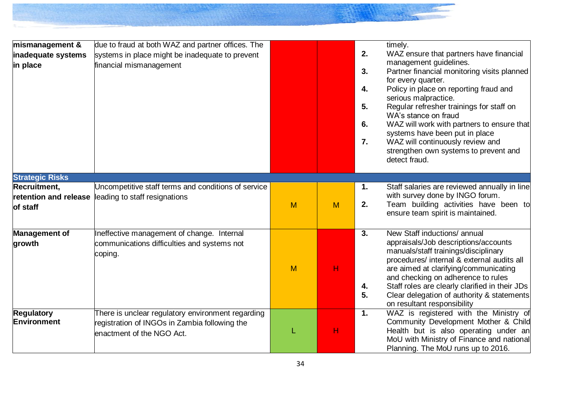| mismanagement &        | due to fraud at both WAZ and partner offices. The   |   |   |    | timely.                                                                              |
|------------------------|-----------------------------------------------------|---|---|----|--------------------------------------------------------------------------------------|
| inadequate systems     | systems in place might be inadequate to prevent     |   |   | 2. | WAZ ensure that partners have financial                                              |
| in place               | financial mismanagement                             |   |   |    | management guidelines.                                                               |
|                        |                                                     |   |   | 3. | Partner financial monitoring visits planned                                          |
|                        |                                                     |   |   | 4. | for every quarter.<br>Policy in place on reporting fraud and                         |
|                        |                                                     |   |   |    | serious malpractice.                                                                 |
|                        |                                                     |   |   | 5. | Regular refresher trainings for staff on                                             |
|                        |                                                     |   |   |    | WA's stance on fraud                                                                 |
|                        |                                                     |   |   | 6. | WAZ will work with partners to ensure that                                           |
|                        |                                                     |   |   |    | systems have been put in place                                                       |
|                        |                                                     |   |   | 7. | WAZ will continuously review and<br>strengthen own systems to prevent and            |
|                        |                                                     |   |   |    | detect fraud.                                                                        |
|                        |                                                     |   |   |    |                                                                                      |
| <b>Strategic Risks</b> |                                                     |   |   |    |                                                                                      |
| Recruitment,           | Uncompetitive staff terms and conditions of service |   |   | 1. | Staff salaries are reviewed annually in line                                         |
|                        | retention and release leading to staff resignations |   |   |    | with survey done by INGO forum.                                                      |
| of staff               |                                                     | M | M | 2. | Team building activities have been to                                                |
|                        |                                                     |   |   |    | ensure team spirit is maintained.                                                    |
| <b>Management of</b>   | Ineffective management of change. Internal          |   |   | 3. | New Staff inductions/ annual                                                         |
| growth                 | communications difficulties and systems not         |   |   |    | appraisals/Job descriptions/accounts                                                 |
|                        | coping.                                             |   |   |    | manuals/staff trainings/disciplinary                                                 |
|                        |                                                     |   |   |    | procedures/ internal & external audits all                                           |
|                        |                                                     | M | Н |    | are aimed at clarifying/communicating                                                |
|                        |                                                     |   |   | 4. | and checking on adherence to rules<br>Staff roles are clearly clarified in their JDs |
|                        |                                                     |   |   | 5. | Clear delegation of authority & statements                                           |
|                        |                                                     |   |   |    | on resultant responsibility                                                          |
| <b>Regulatory</b>      | There is unclear regulatory environment regarding   |   |   | 1. | WAZ is registered with the Ministry of                                               |
| Environment            | registration of INGOs in Zambia following the       |   |   |    | Community Development Mother & Child                                                 |
|                        | enactment of the NGO Act.                           | L | н |    | Health but is also operating under an                                                |
|                        |                                                     |   |   |    | MoU with Ministry of Finance and national                                            |
|                        |                                                     |   |   |    | Planning. The MoU runs up to 2016.                                                   |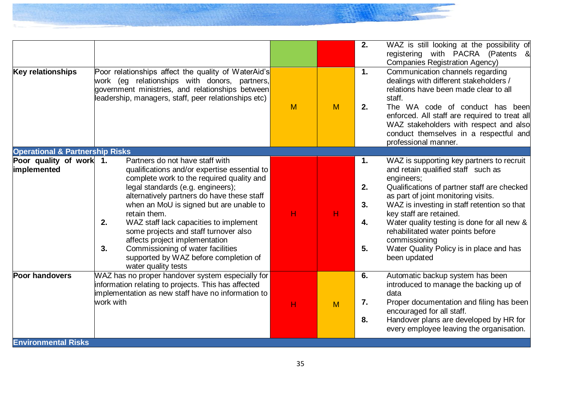| <b>Key relationships</b>                            | Poor relationships affect the quality of WaterAid's<br>work (eg relationships with donors, partners,<br>government ministries, and relationships between<br>leadership, managers, staff, peer relationships etc)                                                                                                                                                                                                                                                                                                 | M | M | WAZ is still looking at the possibility of<br>2.<br>registering with PACRA (Patents &<br><b>Companies Registration Agency)</b><br>$\mathbf 1$ .<br>Communication channels regarding<br>dealings with different stakeholders /<br>relations have been made clear to all<br>staff.<br>2.<br>The WA code of conduct has been<br>enforced. All staff are required to treat all<br>WAZ stakeholders with respect and also<br>conduct themselves in a respectful and<br>professional manner. |
|-----------------------------------------------------|------------------------------------------------------------------------------------------------------------------------------------------------------------------------------------------------------------------------------------------------------------------------------------------------------------------------------------------------------------------------------------------------------------------------------------------------------------------------------------------------------------------|---|---|----------------------------------------------------------------------------------------------------------------------------------------------------------------------------------------------------------------------------------------------------------------------------------------------------------------------------------------------------------------------------------------------------------------------------------------------------------------------------------------|
| <b>Operational &amp; Partnership Risks</b>          |                                                                                                                                                                                                                                                                                                                                                                                                                                                                                                                  |   |   |                                                                                                                                                                                                                                                                                                                                                                                                                                                                                        |
| Poor quality of work 1.<br>implemented              | Partners do not have staff with<br>qualifications and/or expertise essential to<br>complete work to the required quality and<br>legal standards (e.g. engineers);<br>alternatively partners do have these staff<br>when an MoU is signed but are unable to<br>retain them.<br>WAZ staff lack capacities to implement<br>2.<br>some projects and staff turnover also<br>affects project implementation<br>Commissioning of water facilities<br>3.<br>supported by WAZ before completion of<br>water quality tests | н | H | WAZ is supporting key partners to recruit<br>1.<br>and retain qualified staff such as<br>engineers;<br>2.<br>Qualifications of partner staff are checked<br>as part of joint monitoring visits.<br>3.<br>WAZ is investing in staff retention so that<br>key staff are retained.<br>Water quality testing is done for all new &<br>4.<br>rehabilitated water points before<br>commissioning<br>5.<br>Water Quality Policy is in place and has<br>been updated                           |
| <b>Poor handovers</b><br><b>Environmental Risks</b> | WAZ has no proper handover system especially for<br>information relating to projects. This has affected<br>implementation as new staff have no information to<br>work with                                                                                                                                                                                                                                                                                                                                       | н | M | Automatic backup system has been<br>6.<br>introduced to manage the backing up of<br>data<br>Proper documentation and filing has been<br>7.<br>encouraged for all staff.<br>Handover plans are developed by HR for<br>8.<br>every employee leaving the organisation.                                                                                                                                                                                                                    |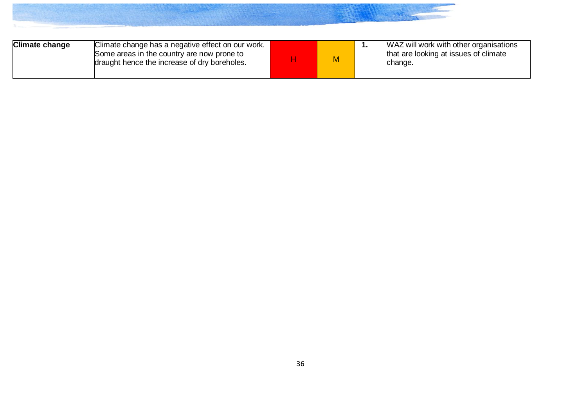| <b>Climate change</b><br>Climate change has a negative effect on our work.<br>Some areas in the country are now prone to<br>draught hence the increase of dry boreholes. |  | M |  | WAZ will work with other organisations<br>that are looking at issues of climate<br>change. |
|--------------------------------------------------------------------------------------------------------------------------------------------------------------------------|--|---|--|--------------------------------------------------------------------------------------------|
|--------------------------------------------------------------------------------------------------------------------------------------------------------------------------|--|---|--|--------------------------------------------------------------------------------------------|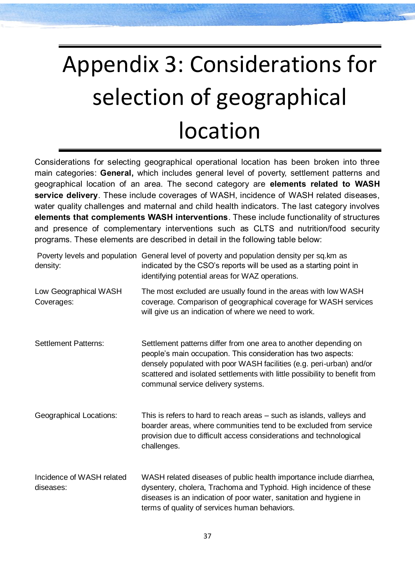# <span id="page-37-0"></span>Appendix 3: Considerations for selection of geographical location

Considerations for selecting geographical operational location has been broken into three main categories: **General,** which includes general level of poverty, settlement patterns and geographical location of an area. The second category are **elements related to WASH service delivery**. These include coverages of WASH, incidence of WASH related diseases, water quality challenges and maternal and child health indicators. The last category involves **elements that complements WASH interventions**. These include functionality of structures and presence of complementary interventions such as CLTS and nutrition/food security programs. These elements are described in detail in the following table below:

| density:                               | Poverty levels and population General level of poverty and population density per sq.km as<br>indicated by the CSO's reports will be used as a starting point in<br>identifying potential areas for WAZ operations.                                                                                                           |
|----------------------------------------|-------------------------------------------------------------------------------------------------------------------------------------------------------------------------------------------------------------------------------------------------------------------------------------------------------------------------------|
| Low Geographical WASH<br>Coverages:    | The most excluded are usually found in the areas with low WASH<br>coverage. Comparison of geographical coverage for WASH services<br>will give us an indication of where we need to work.                                                                                                                                     |
| <b>Settlement Patterns:</b>            | Settlement patterns differ from one area to another depending on<br>people's main occupation. This consideration has two aspects:<br>densely populated with poor WASH facilities (e.g. peri-urban) and/or<br>scattered and isolated settlements with little possibility to benefit from<br>communal service delivery systems. |
| <b>Geographical Locations:</b>         | This is refers to hard to reach areas – such as islands, valleys and<br>boarder areas, where communities tend to be excluded from service<br>provision due to difficult access considerations and technological<br>challenges.                                                                                                |
| Incidence of WASH related<br>diseases: | WASH related diseases of public health importance include diarrhea,<br>dysentery, cholera, Trachoma and Typhoid. High incidence of these<br>diseases is an indication of poor water, sanitation and hygiene in<br>terms of quality of services human behaviors.                                                               |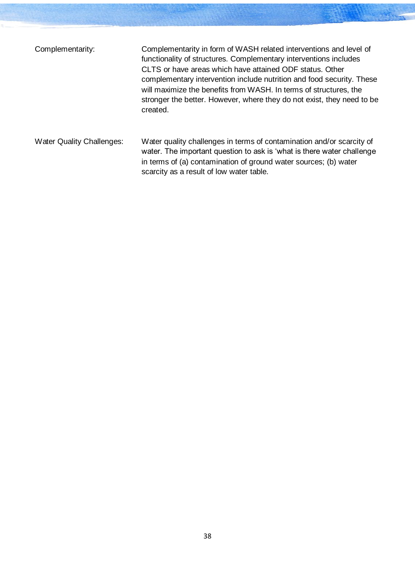| Complementarity:                 | Complementarity in form of WASH related interventions and level of<br>functionality of structures. Complementary interventions includes<br>CLTS or have areas which have attained ODF status. Other<br>complementary intervention include nutrition and food security. These<br>will maximize the benefits from WASH. In terms of structures, the<br>stronger the better. However, where they do not exist, they need to be<br>created. |
|----------------------------------|-----------------------------------------------------------------------------------------------------------------------------------------------------------------------------------------------------------------------------------------------------------------------------------------------------------------------------------------------------------------------------------------------------------------------------------------|
| <b>Water Quality Challenges:</b> | Water quality challenges in terms of contamination and/or scarcity of<br>water. The important question to ask is 'what is there water challenge<br>in terms of (a) contamination of ground water sources; (b) water<br>scarcity as a result of low water table.                                                                                                                                                                         |